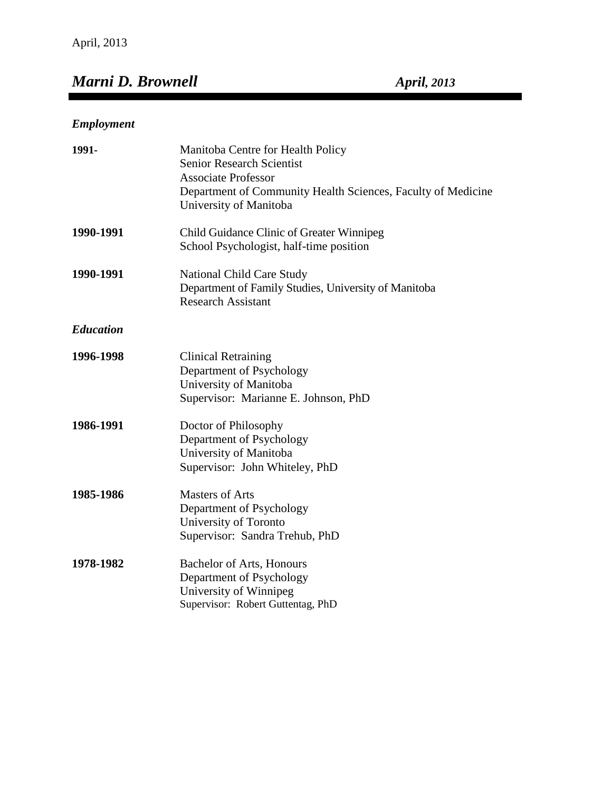# *Marni D. Brownell April, 2013*

## *Employment*

| 1991-            | Manitoba Centre for Health Policy<br><b>Senior Research Scientist</b><br><b>Associate Professor</b><br>Department of Community Health Sciences, Faculty of Medicine<br>University of Manitoba |
|------------------|-----------------------------------------------------------------------------------------------------------------------------------------------------------------------------------------------|
| 1990-1991        | Child Guidance Clinic of Greater Winnipeg<br>School Psychologist, half-time position                                                                                                          |
| 1990-1991        | <b>National Child Care Study</b><br>Department of Family Studies, University of Manitoba<br><b>Research Assistant</b>                                                                         |
| <b>Education</b> |                                                                                                                                                                                               |
| 1996-1998        | <b>Clinical Retraining</b><br>Department of Psychology<br>University of Manitoba<br>Supervisor: Marianne E. Johnson, PhD                                                                      |
| 1986-1991        | Doctor of Philosophy<br>Department of Psychology<br>University of Manitoba<br>Supervisor: John Whiteley, PhD                                                                                  |
| 1985-1986        | <b>Masters of Arts</b><br>Department of Psychology<br>University of Toronto<br>Supervisor: Sandra Trehub, PhD                                                                                 |
| 1978-1982        | <b>Bachelor of Arts, Honours</b><br>Department of Psychology<br>University of Winnipeg<br>Supervisor: Robert Guttentag, PhD                                                                   |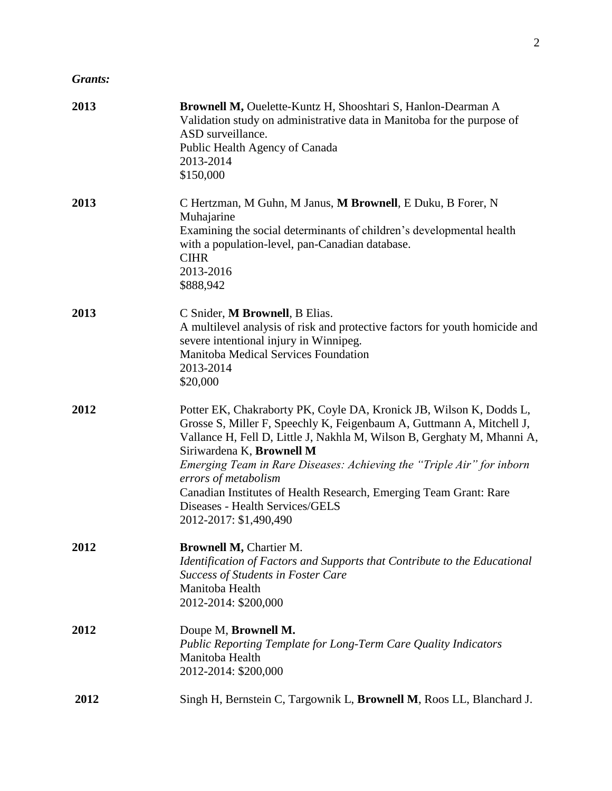## *Grants:*

| 2013 | Brownell M, Ouelette-Kuntz H, Shooshtari S, Hanlon-Dearman A<br>Validation study on administrative data in Manitoba for the purpose of<br>ASD surveillance.<br>Public Health Agency of Canada<br>2013-2014<br>\$150,000                                                                                                                                                                                                                                                                 |
|------|-----------------------------------------------------------------------------------------------------------------------------------------------------------------------------------------------------------------------------------------------------------------------------------------------------------------------------------------------------------------------------------------------------------------------------------------------------------------------------------------|
| 2013 | C Hertzman, M Guhn, M Janus, M Brownell, E Duku, B Forer, N<br>Muhajarine<br>Examining the social determinants of children's developmental health<br>with a population-level, pan-Canadian database.<br><b>CIHR</b><br>2013-2016<br>\$888,942                                                                                                                                                                                                                                           |
| 2013 | C Snider, M Brownell, B Elias.<br>A multilevel analysis of risk and protective factors for youth homicide and<br>severe intentional injury in Winnipeg.<br>Manitoba Medical Services Foundation<br>2013-2014<br>\$20,000                                                                                                                                                                                                                                                                |
| 2012 | Potter EK, Chakraborty PK, Coyle DA, Kronick JB, Wilson K, Dodds L,<br>Grosse S, Miller F, Speechly K, Feigenbaum A, Guttmann A, Mitchell J,<br>Vallance H, Fell D, Little J, Nakhla M, Wilson B, Gerghaty M, Mhanni A,<br>Siriwardena K, Brownell M<br>Emerging Team in Rare Diseases: Achieving the "Triple Air" for inborn<br>errors of metabolism<br>Canadian Institutes of Health Research, Emerging Team Grant: Rare<br>Diseases - Health Services/GELS<br>2012-2017: \$1,490,490 |
| 2012 | <b>Brownell M, Chartier M.</b><br>Identification of Factors and Supports that Contribute to the Educational<br><b>Success of Students in Foster Care</b><br>Manitoba Health<br>2012-2014: \$200,000                                                                                                                                                                                                                                                                                     |
| 2012 | Doupe M, Brownell M.<br><b>Public Reporting Template for Long-Term Care Quality Indicators</b><br>Manitoba Health<br>2012-2014: \$200,000                                                                                                                                                                                                                                                                                                                                               |
| 2012 | Singh H, Bernstein C, Targownik L, Brownell M, Roos LL, Blanchard J.                                                                                                                                                                                                                                                                                                                                                                                                                    |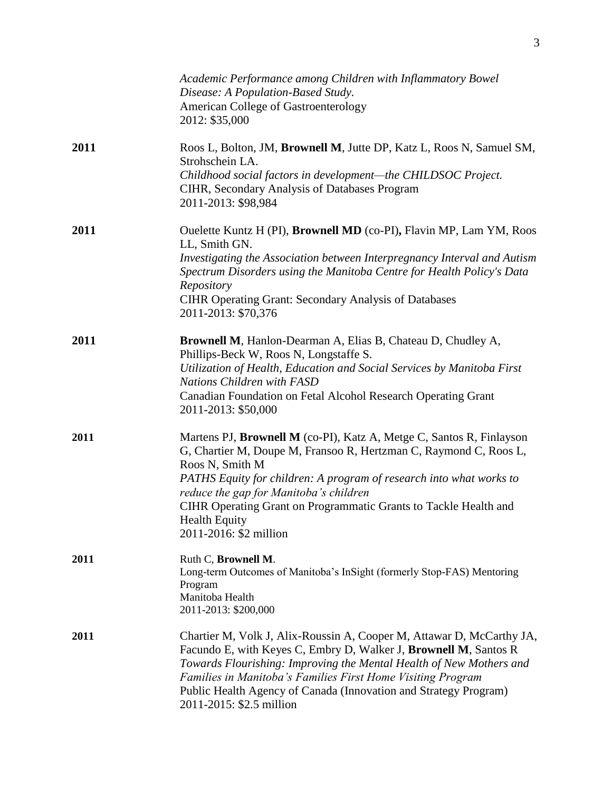|      | Academic Performance among Children with Inflammatory Bowel<br>Disease: A Population-Based Study.<br><b>American College of Gastroenterology</b><br>2012: \$35,000                                                                                                                                                                                                                                  |
|------|-----------------------------------------------------------------------------------------------------------------------------------------------------------------------------------------------------------------------------------------------------------------------------------------------------------------------------------------------------------------------------------------------------|
| 2011 | Roos L, Bolton, JM, Brownell M, Jutte DP, Katz L, Roos N, Samuel SM,<br>Strohschein LA.<br>Childhood social factors in development-the CHILDSOC Project.<br>CIHR, Secondary Analysis of Databases Program<br>2011-2013: \$98,984                                                                                                                                                                    |
| 2011 | Ouelette Kuntz H (PI), Brownell MD (co-PI), Flavin MP, Lam YM, Roos<br>LL, Smith GN.<br>Investigating the Association between Interpregnancy Interval and Autism<br>Spectrum Disorders using the Manitoba Centre for Health Policy's Data<br>Repository<br><b>CIHR Operating Grant: Secondary Analysis of Databases</b><br>2011-2013: \$70,376                                                      |
| 2011 | Brownell M, Hanlon-Dearman A, Elias B, Chateau D, Chudley A,<br>Phillips-Beck W, Roos N, Longstaffe S.<br>Utilization of Health, Education and Social Services by Manitoba First<br>Nations Children with FASD<br>Canadian Foundation on Fetal Alcohol Research Operating Grant<br>2011-2013: \$50,000                                                                                              |
| 2011 | Martens PJ, Brownell M (co-PI), Katz A, Metge C, Santos R, Finlayson<br>G, Chartier M, Doupe M, Fransoo R, Hertzman C, Raymond C, Roos L,<br>Roos N, Smith M<br>PATHS Equity for children: A program of research into what works to<br>reduce the gap for Manitoba's children<br>CIHR Operating Grant on Programmatic Grants to Tackle Health and<br><b>Health Equity</b><br>2011-2016: \$2 million |
| 2011 | Ruth C, Brownell M.<br>Long-term Outcomes of Manitoba's InSight (formerly Stop-FAS) Mentoring<br>Program<br>Manitoba Health<br>2011-2013: \$200,000                                                                                                                                                                                                                                                 |
| 2011 | Chartier M, Volk J, Alix-Roussin A, Cooper M, Attawar D, McCarthy JA,<br>Facundo E, with Keyes C, Embry D, Walker J, Brownell M, Santos R<br>Towards Flourishing: Improving the Mental Health of New Mothers and<br>Families in Manitoba's Families First Home Visiting Program<br>Public Health Agency of Canada (Innovation and Strategy Program)<br>2011-2015: \$2.5 million                     |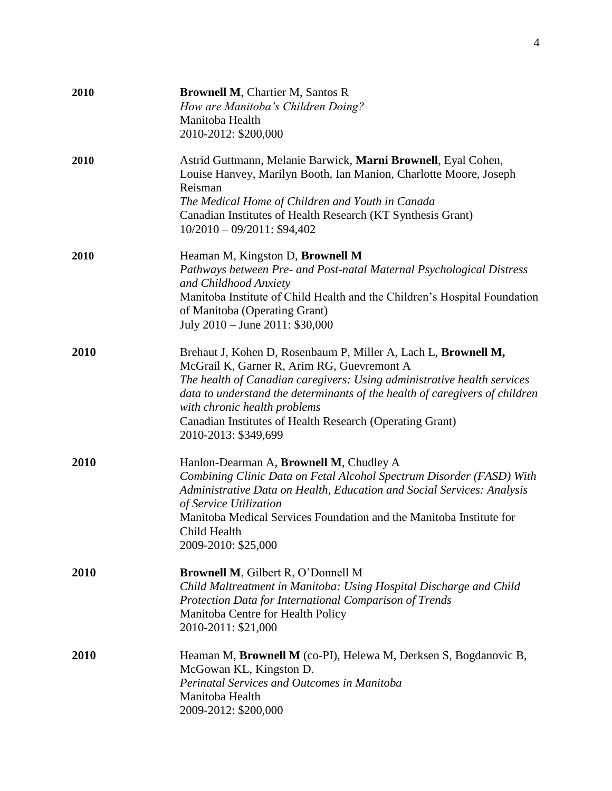| 2010 | <b>Brownell M, Chartier M, Santos R</b><br>How are Manitoba's Children Doing?<br>Manitoba Health<br>2010-2012: \$200,000                                                                                                                                                                                                                                                                   |
|------|--------------------------------------------------------------------------------------------------------------------------------------------------------------------------------------------------------------------------------------------------------------------------------------------------------------------------------------------------------------------------------------------|
| 2010 | Astrid Guttmann, Melanie Barwick, Marni Brownell, Eyal Cohen,<br>Louise Hanvey, Marilyn Booth, Ian Manion, Charlotte Moore, Joseph<br>Reisman<br>The Medical Home of Children and Youth in Canada<br>Canadian Institutes of Health Research (KT Synthesis Grant)<br>$10/2010 - 09/2011$ : \$94,402                                                                                         |
| 2010 | Heaman M, Kingston D, Brownell M<br>Pathways between Pre- and Post-natal Maternal Psychological Distress<br>and Childhood Anxiety<br>Manitoba Institute of Child Health and the Children's Hospital Foundation<br>of Manitoba (Operating Grant)<br>July 2010 - June 2011: \$30,000                                                                                                         |
| 2010 | Brehaut J, Kohen D, Rosenbaum P, Miller A, Lach L, Brownell M,<br>McGrail K, Garner R, Arim RG, Guevremont A<br>The health of Canadian caregivers: Using administrative health services<br>data to understand the determinants of the health of caregivers of children<br>with chronic health problems<br>Canadian Institutes of Health Research (Operating Grant)<br>2010-2013: \$349,699 |
| 2010 | Hanlon-Dearman A, Brownell M, Chudley A<br>Combining Clinic Data on Fetal Alcohol Spectrum Disorder (FASD) With<br>Administrative Data on Health, Education and Social Services: Analysis<br>of Service Utilization<br>Manitoba Medical Services Foundation and the Manitoba Institute for<br>Child Health<br>2009-2010: \$25,000                                                          |
| 2010 | <b>Brownell M, Gilbert R, O'Donnell M</b><br>Child Maltreatment in Manitoba: Using Hospital Discharge and Child<br>Protection Data for International Comparison of Trends<br>Manitoba Centre for Health Policy<br>2010-2011: \$21,000                                                                                                                                                      |
| 2010 | Heaman M, Brownell M (co-PI), Helewa M, Derksen S, Bogdanovic B,<br>McGowan KL, Kingston D.<br>Perinatal Services and Outcomes in Manitoba<br>Manitoba Health<br>2009-2012: \$200,000                                                                                                                                                                                                      |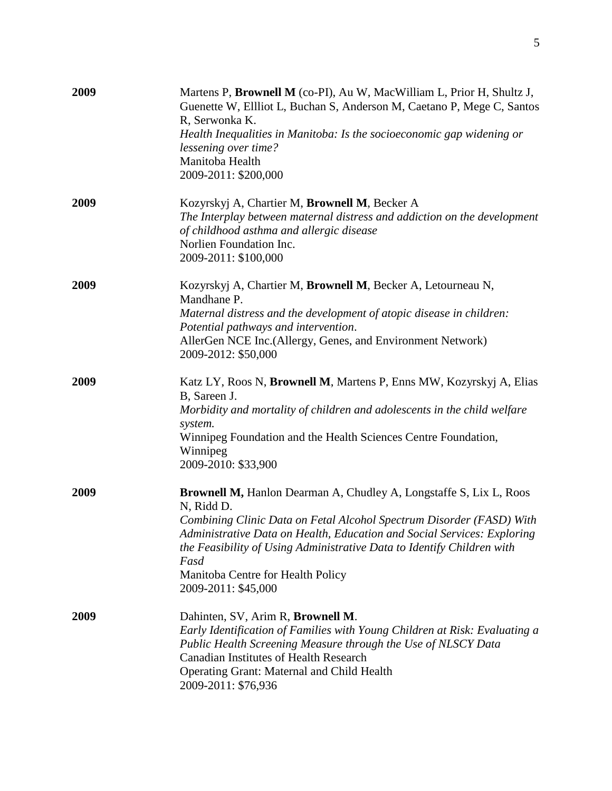| 2009 | Martens P, Brownell M (co-PI), Au W, MacWilliam L, Prior H, Shultz J,<br>Guenette W, Ellliot L, Buchan S, Anderson M, Caetano P, Mege C, Santos<br>R, Serwonka K.<br>Health Inequalities in Manitoba: Is the socioeconomic gap widening or<br>lessening over time?<br>Manitoba Health<br>2009-2011: \$200,000                                                                     |
|------|-----------------------------------------------------------------------------------------------------------------------------------------------------------------------------------------------------------------------------------------------------------------------------------------------------------------------------------------------------------------------------------|
| 2009 | Kozyrskyj A, Chartier M, Brownell M, Becker A<br>The Interplay between maternal distress and addiction on the development<br>of childhood asthma and allergic disease<br>Norlien Foundation Inc.<br>2009-2011: \$100,000                                                                                                                                                          |
| 2009 | Kozyrskyj A, Chartier M, Brownell M, Becker A, Letourneau N,<br>Mandhane P.<br>Maternal distress and the development of atopic disease in children:<br>Potential pathways and intervention.<br>AllerGen NCE Inc. (Allergy, Genes, and Environment Network)<br>2009-2012: \$50,000                                                                                                 |
| 2009 | Katz LY, Roos N, Brownell M, Martens P, Enns MW, Kozyrskyj A, Elias<br>B, Sareen J.<br>Morbidity and mortality of children and adolescents in the child welfare<br>system.<br>Winnipeg Foundation and the Health Sciences Centre Foundation,<br>Winnipeg<br>2009-2010: \$33,900                                                                                                   |
| 2009 | Brownell M, Hanlon Dearman A, Chudley A, Longstaffe S, Lix L, Roos<br>N, Ridd D.<br>Combining Clinic Data on Fetal Alcohol Spectrum Disorder (FASD) With<br>Administrative Data on Health, Education and Social Services: Exploring<br>the Feasibility of Using Administrative Data to Identify Children with<br>Fasd<br>Manitoba Centre for Health Policy<br>2009-2011: \$45,000 |
| 2009 | Dahinten, SV, Arim R, Brownell M.<br>Early Identification of Families with Young Children at Risk: Evaluating a<br>Public Health Screening Measure through the Use of NLSCY Data<br><b>Canadian Institutes of Health Research</b><br>Operating Grant: Maternal and Child Health<br>2009-2011: \$76,936                                                                            |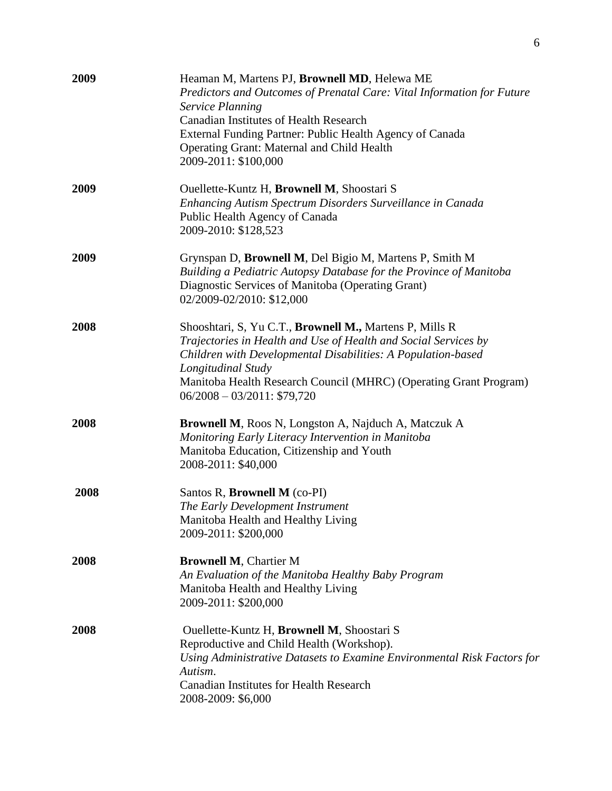| 2009 | Heaman M, Martens PJ, Brownell MD, Helewa ME<br>Predictors and Outcomes of Prenatal Care: Vital Information for Future<br><b>Service Planning</b><br><b>Canadian Institutes of Health Research</b><br>External Funding Partner: Public Health Agency of Canada<br>Operating Grant: Maternal and Child Health<br>2009-2011: \$100,000 |
|------|--------------------------------------------------------------------------------------------------------------------------------------------------------------------------------------------------------------------------------------------------------------------------------------------------------------------------------------|
| 2009 | Ouellette-Kuntz H, Brownell M, Shoostari S<br>Enhancing Autism Spectrum Disorders Surveillance in Canada<br>Public Health Agency of Canada<br>2009-2010: \$128,523                                                                                                                                                                   |
| 2009 | Grynspan D, Brownell M, Del Bigio M, Martens P, Smith M<br>Building a Pediatric Autopsy Database for the Province of Manitoba<br>Diagnostic Services of Manitoba (Operating Grant)<br>02/2009-02/2010: \$12,000                                                                                                                      |
| 2008 | Shooshtari, S, Yu C.T., Brownell M., Martens P, Mills R<br>Trajectories in Health and Use of Health and Social Services by<br>Children with Developmental Disabilities: A Population-based<br>Longitudinal Study<br>Manitoba Health Research Council (MHRC) (Operating Grant Program)<br>$06/2008 - 03/2011$ : \$79,720              |
| 2008 | Brownell M, Roos N, Longston A, Najduch A, Matczuk A<br>Monitoring Early Literacy Intervention in Manitoba<br>Manitoba Education, Citizenship and Youth<br>2008-2011: \$40,000                                                                                                                                                       |
| 2008 | Santos R, Brownell M (co-PI)<br>The Early Development Instrument<br>Manitoba Health and Healthy Living<br>2009-2011: \$200,000                                                                                                                                                                                                       |
| 2008 | <b>Brownell M, Chartier M</b><br>An Evaluation of the Manitoba Healthy Baby Program<br>Manitoba Health and Healthy Living<br>2009-2011: \$200,000                                                                                                                                                                                    |
| 2008 | Ouellette-Kuntz H, Brownell M, Shoostari S<br>Reproductive and Child Health (Workshop).<br>Using Administrative Datasets to Examine Environmental Risk Factors for<br>Autism.<br><b>Canadian Institutes for Health Research</b><br>2008-2009: \$6,000                                                                                |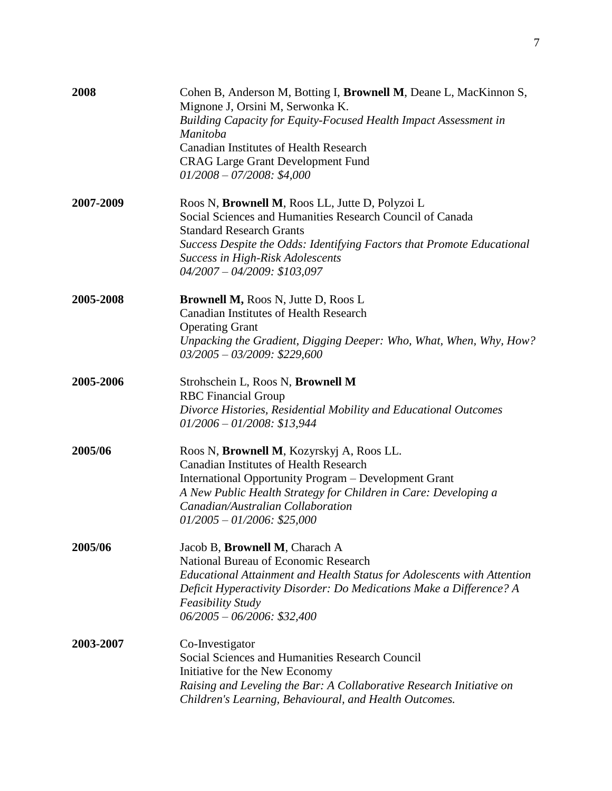| 2008      | Cohen B, Anderson M, Botting I, Brownell M, Deane L, MacKinnon S,<br>Mignone J, Orsini M, Serwonka K.<br>Building Capacity for Equity-Focused Health Impact Assessment in<br>Manitoba<br><b>Canadian Institutes of Health Research</b><br><b>CRAG Large Grant Development Fund</b><br>$01/2008 - 07/2008$ : \$4,000 |
|-----------|---------------------------------------------------------------------------------------------------------------------------------------------------------------------------------------------------------------------------------------------------------------------------------------------------------------------|
| 2007-2009 | Roos N, Brownell M, Roos LL, Jutte D, Polyzoi L<br>Social Sciences and Humanities Research Council of Canada<br><b>Standard Research Grants</b><br>Success Despite the Odds: Identifying Factors that Promote Educational<br><b>Success in High-Risk Adolescents</b><br>$04/2007 - 04/2009$ : \$103,097             |
| 2005-2008 | <b>Brownell M, Roos N, Jutte D, Roos L</b><br><b>Canadian Institutes of Health Research</b><br><b>Operating Grant</b><br>Unpacking the Gradient, Digging Deeper: Who, What, When, Why, How?<br>$03/2005 - 03/2009$ : \$229,600                                                                                      |
| 2005-2006 | Strohschein L, Roos N, Brownell M<br><b>RBC</b> Financial Group<br>Divorce Histories, Residential Mobility and Educational Outcomes<br>$01/2006 - 01/2008$ : \$13,944                                                                                                                                               |
| 2005/06   | Roos N, Brownell M, Kozyrskyj A, Roos LL.<br><b>Canadian Institutes of Health Research</b><br>International Opportunity Program - Development Grant<br>A New Public Health Strategy for Children in Care: Developing a<br>Canadian/Australian Collaboration<br>$01/2005 - 01/2006$ : \$25,000                       |
| 2005/06   | Jacob B, Brownell M, Charach A<br>National Bureau of Economic Research<br>Educational Attainment and Health Status for Adolescents with Attention<br>Deficit Hyperactivity Disorder: Do Medications Make a Difference? A<br><b>Feasibility Study</b><br>$06/2005 - 06/2006$ : \$32,400                              |
| 2003-2007 | Co-Investigator<br>Social Sciences and Humanities Research Council<br>Initiative for the New Economy<br>Raising and Leveling the Bar: A Collaborative Research Initiative on<br>Children's Learning, Behavioural, and Health Outcomes.                                                                              |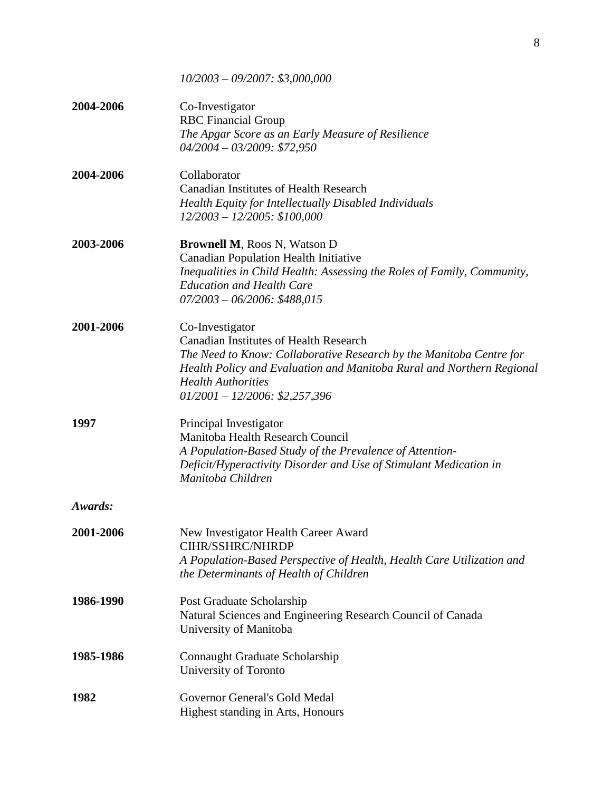*10/2003 – 09/2007: \$3,000,000* **2004-2006** Co-Investigator RBC Financial Group *The Apgar Score as an Early Measure of Resilience 04/2004 – 03/2009: \$72,950* **2004-2006** Collaborator Canadian Institutes of Health Research *Health Equity for Intellectually Disabled Individuals 12/2003 – 12/2005: \$100,000* **2003-2006 Brownell M**, Roos N, Watson D Canadian Population Health Initiative *Inequalities in Child Health: Assessing the Roles of Family, Community, Education and Health Care 07/2003 – 06/2006: \$488,015* **2001-2006** Co-Investigator Canadian Institutes of Health Research *The Need to Know: Collaborative Research by the Manitoba Centre for Health Policy and Evaluation and Manitoba Rural and Northern Regional Health Authorities 01/2001 – 12/2006: \$2,257,396* **1997** Principal Investigator Manitoba Health Research Council *A Population-Based Study of the Prevalence of Attention-Deficit/Hyperactivity Disorder and Use of Stimulant Medication in Manitoba Children Awards:* **2001-2006** New Investigator Health Career Award CIHR/SSHRC/NHRDP *A Population-Based Perspective of Health, Health Care Utilization and the Determinants of Health of Children* **1986-1990** Post Graduate Scholarship Natural Sciences and Engineering Research Council of Canada University of Manitoba **1985-1986** Connaught Graduate Scholarship University of Toronto **1982** Governor General's Gold Medal Highest standing in Arts, Honours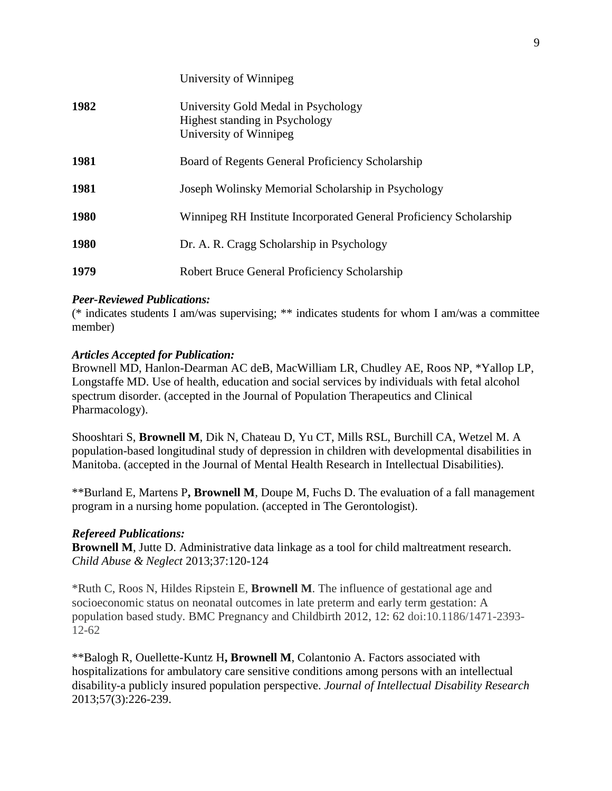|             | University of Winnipeg                                                                                 |
|-------------|--------------------------------------------------------------------------------------------------------|
| 1982        | University Gold Medal in Psychology<br><b>Highest standing in Psychology</b><br>University of Winnipeg |
| 1981        | Board of Regents General Proficiency Scholarship                                                       |
| 1981        | Joseph Wolinsky Memorial Scholarship in Psychology                                                     |
| <b>1980</b> | Winnipeg RH Institute Incorporated General Proficiency Scholarship                                     |
| <b>1980</b> | Dr. A. R. Cragg Scholarship in Psychology                                                              |
| 1979        | Robert Bruce General Proficiency Scholarship                                                           |

## *Peer-Reviewed Publications:*

(\* indicates students I am/was supervising; \*\* indicates students for whom I am/was a committee member)

## *Articles Accepted for Publication:*

Brownell MD, Hanlon-Dearman AC deB, MacWilliam LR, Chudley AE, Roos NP, \*Yallop LP, Longstaffe MD. Use of health, education and social services by individuals with fetal alcohol spectrum disorder. (accepted in the Journal of Population Therapeutics and Clinical Pharmacology).

Shooshtari S, **Brownell M**, Dik N, Chateau D, Yu CT, Mills RSL, Burchill CA, Wetzel M. A population-based longitudinal study of depression in children with developmental disabilities in Manitoba. (accepted in the Journal of Mental Health Research in Intellectual Disabilities).

\*\*Burland E, Martens P**, Brownell M**, Doupe M, Fuchs D. The evaluation of a fall management program in a nursing home population. (accepted in The Gerontologist).

## *Refereed Publications:*

**Brownell M**, Jutte D. Administrative data linkage as a tool for child maltreatment research. *Child Abuse & Neglect* 2013;37:120-124

\*Ruth C, Roos N, Hildes Ripstein E, **Brownell M**. The influence of gestational age and socioeconomic status on neonatal outcomes in late preterm and early term gestation: A population based study. BMC Pregnancy and Childbirth 2012, 12: 62 doi:10.1186/1471-2393- 12-62

\*\*Balogh R, Ouellette-Kuntz H**, Brownell M**, Colantonio A. Factors associated with hospitalizations for ambulatory care sensitive conditions among persons with an intellectual disability-a publicly insured population perspective. *Journal of Intellectual Disability Research* 2013;57(3):226-239.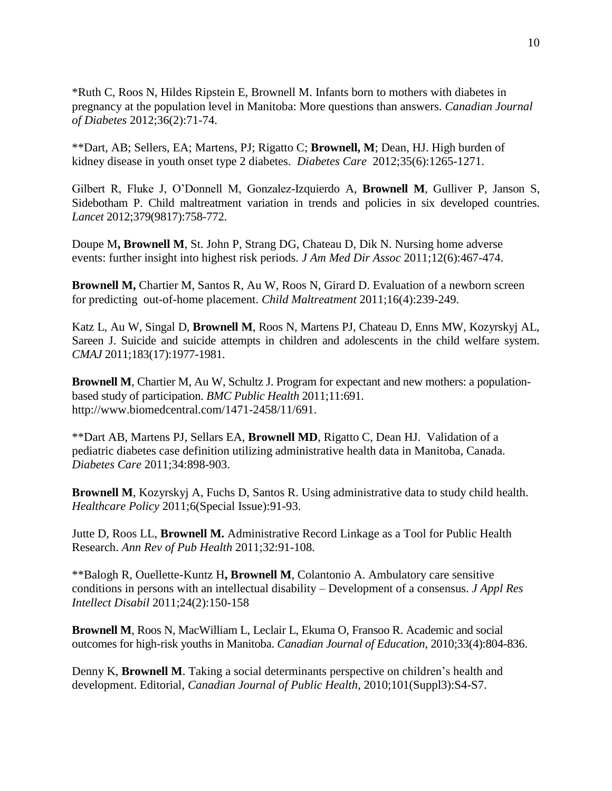\*Ruth C, Roos N, Hildes Ripstein E, Brownell M. Infants born to mothers with diabetes in pregnancy at the population level in Manitoba: More questions than answers. *Canadian Journal of Diabetes* 2012;36(2):71-74.

\*\*Dart, AB; Sellers, EA; Martens, PJ; Rigatto C; **Brownell, M**; Dean, HJ. High burden of kidney disease in youth onset type 2 diabetes. *Diabetes Care* 2012;35(6):1265-1271.

Gilbert R, Fluke J, O'Donnell M, Gonzalez-Izquierdo A, **Brownell M**, Gulliver P, Janson S, Sidebotham P. Child maltreatment variation in trends and policies in six developed countries. *Lancet* 2012;379(9817):758-772.

Doupe M**, Brownell M**, St. John P, Strang DG, Chateau D, Dik N. Nursing home adverse events: further insight into highest risk periods. *J Am Med Dir Assoc* 2011;12(6):467-474.

**Brownell M,** Chartier M, Santos R, Au W, Roos N, Girard D. Evaluation of a newborn screen for predicting out-of-home placement. *Child Maltreatment* 2011;16(4):239-249.

Katz L, Au W, Singal D, **Brownell M**, Roos N, Martens PJ, Chateau D, Enns MW, Kozyrskyj AL, Sareen J. Suicide and suicide attempts in children and adolescents in the child welfare system. *CMAJ* 2011;183(17):1977-1981.

**Brownell M**, Chartier M, Au W, Schultz J. Program for expectant and new mothers: a populationbased study of participation. *BMC Public Health* 2011;11:691. http://www.biomedcentral.com/1471-2458/11/691.

\*\*Dart AB, Martens PJ, Sellars EA, **Brownell MD**, Rigatto C, Dean HJ. Validation of a pediatric diabetes case definition utilizing administrative health data in Manitoba, Canada. *Diabetes Care* 2011;34:898-903.

**Brownell M**, Kozyrskyj A, Fuchs D, Santos R. Using administrative data to study child health. *Healthcare Policy* 2011;6(Special Issue):91-93.

Jutte D, Roos LL, **Brownell M.** Administrative Record Linkage as a Tool for Public Health Research. *Ann Rev of Pub Health* 2011;32:91-108.

\*\*Balogh R, Ouellette-Kuntz H**, Brownell M**, Colantonio A. Ambulatory care sensitive conditions in persons with an intellectual disability – Development of a consensus. *J Appl Res Intellect Disabil* 2011;24(2):150-158

**Brownell M**, Roos N, MacWilliam L, Leclair L, Ekuma O, Fransoo R. Academic and social outcomes for high-risk youths in Manitoba. *Canadian Journal of Education*, 2010;33(4):804-836.

Denny K, **Brownell M**. Taking a social determinants perspective on children's health and development. Editorial, *Canadian Journal of Public Health*, 2010;101(Suppl3):S4-S7.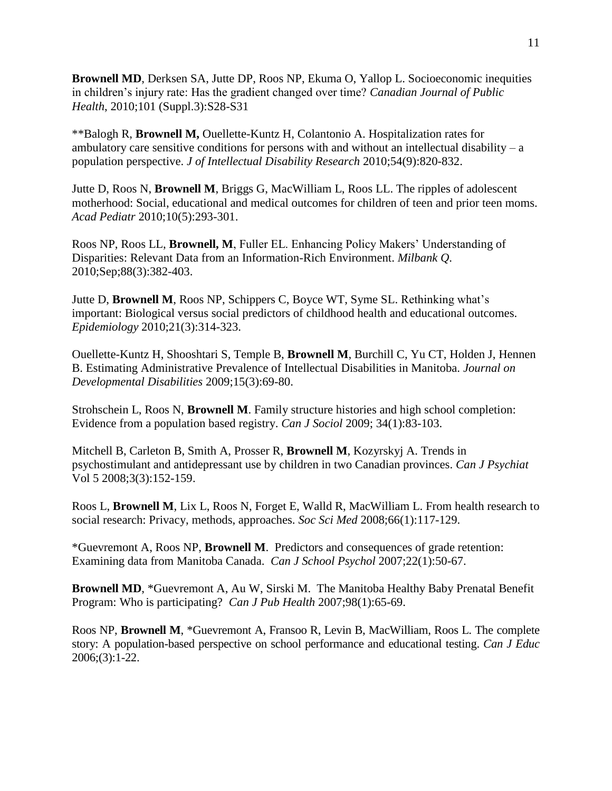**Brownell MD**, Derksen SA, Jutte DP, Roos NP, Ekuma O, Yallop L. Socioeconomic inequities in children's injury rate: Has the gradient changed over time? *Canadian Journal of Public Health*, 2010;101 (Suppl.3):S28-S31

\*\*Balogh R, **Brownell M,** Ouellette-Kuntz H, Colantonio A. Hospitalization rates for ambulatory care sensitive conditions for persons with and without an intellectual disability –  $a$ population perspective. *J of Intellectual Disability Research* 2010;54(9):820-832.

Jutte D, Roos N, **Brownell M**, Briggs G, MacWilliam L, Roos LL. The ripples of adolescent motherhood: Social, educational and medical outcomes for children of teen and prior teen moms. *Acad Pediatr* 2010;10(5):293-301.

Roos NP, Roos LL, **Brownell, M**, Fuller EL. Enhancing Policy Makers' Understanding of Disparities: Relevant Data from an Information-Rich Environment. *Milbank Q*. 2010;Sep;88(3):382-403.

Jutte D, **Brownell M**, Roos NP, Schippers C, Boyce WT, Syme SL. Rethinking what's important: Biological versus social predictors of childhood health and educational outcomes. *Epidemiology* 2010;21(3):314-323.

Ouellette-Kuntz H, Shooshtari S, Temple B, **Brownell M**, Burchill C, Yu CT, Holden J, Hennen B. Estimating Administrative Prevalence of Intellectual Disabilities in Manitoba. *Journal on Developmental Disabilities* 2009;15(3):69-80.

Strohschein L, Roos N, **Brownell M**. Family structure histories and high school completion: Evidence from a population based registry. *Can J Sociol* 2009; 34(1):83-103.

Mitchell B, Carleton B, Smith A, Prosser R, **Brownell M**, Kozyrskyj A. Trends in psychostimulant and antidepressant use by children in two Canadian provinces. *Can J Psychiat* Vol 5 2008;3(3):152-159.

Roos L, **Brownell M**, Lix L, Roos N, Forget E, Walld R, MacWilliam L. From health research to social research: Privacy, methods, approaches. *Soc Sci Med* 2008;66(1):117-129.

\*Guevremont A, Roos NP, **Brownell M**. Predictors and consequences of grade retention: Examining data from Manitoba Canada. *Can J School Psychol* 2007;22(1):50-67.

**Brownell MD**, \*Guevremont A, Au W, Sirski M. The Manitoba Healthy Baby Prenatal Benefit Program: Who is participating? *Can J Pub Health* 2007;98(1):65-69.

Roos NP, **Brownell M**, \*Guevremont A, Fransoo R, Levin B, MacWilliam, Roos L. The complete story: A population-based perspective on school performance and educational testing. *Can J Educ* 2006;(3):1-22.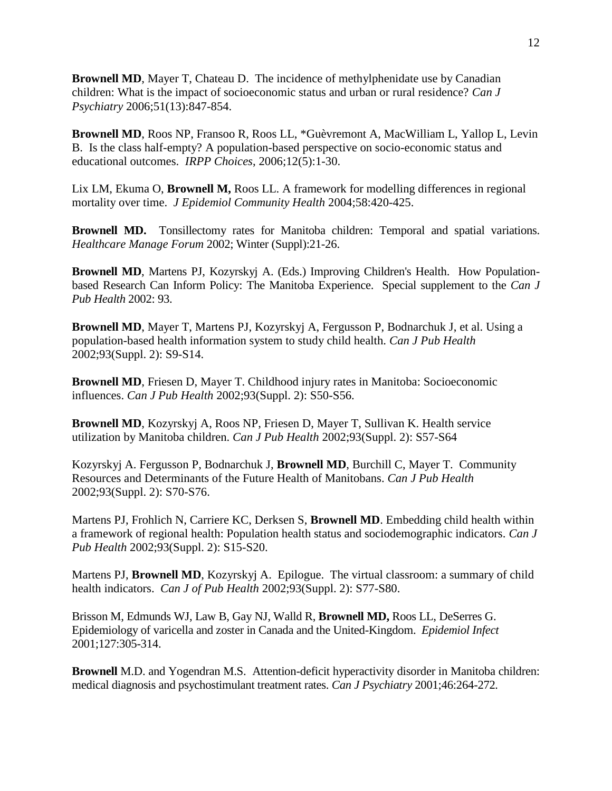**Brownell MD**, Mayer T, Chateau D. The incidence of methylphenidate use by Canadian children: What is the impact of socioeconomic status and urban or rural residence? *Can J Psychiatry* 2006;51(13):847-854.

**Brownell MD**, Roos NP, Fransoo R, Roos LL, \*Guèvremont A, MacWilliam L, Yallop L, Levin B. Is the class half-empty? A population-based perspective on socio-economic status and educational outcomes. *IRPP Choices*, 2006;12(5):1-30.

Lix LM, Ekuma O, **Brownell M,** Roos LL. A framework for modelling differences in regional mortality over time. *J Epidemiol Community Health* 2004;58:420-425.

**Brownell MD.** Tonsillectomy rates for Manitoba children: Temporal and spatial variations. *Healthcare Manage Forum* 2002; Winter (Suppl):21-26.

**Brownell MD**, Martens PJ, Kozyrskyj A. (Eds.) Improving Children's Health. How Populationbased Research Can Inform Policy: The Manitoba Experience. Special supplement to the *Can J Pub Health* 2002: 93.

**Brownell MD**, Mayer T, Martens PJ, Kozyrskyj A, Fergusson P, Bodnarchuk J, et al. Using a population-based health information system to study child health. *Can J Pub Health* 2002;93(Suppl. 2): S9-S14.

**Brownell MD**, Friesen D, Mayer T. Childhood injury rates in Manitoba: Socioeconomic influences. *Can J Pub Health* 2002;93(Suppl. 2): S50-S56.

**Brownell MD**, Kozyrskyj A, Roos NP, Friesen D, Mayer T, Sullivan K. Health service utilization by Manitoba children. *Can J Pub Health* 2002;93(Suppl. 2): S57-S64

Kozyrskyj A. Fergusson P, Bodnarchuk J, **Brownell MD**, Burchill C, Mayer T. Community Resources and Determinants of the Future Health of Manitobans. *Can J Pub Health* 2002;93(Suppl. 2): S70-S76.

Martens PJ, Frohlich N, Carriere KC, Derksen S, **Brownell MD**. Embedding child health within a framework of regional health: Population health status and sociodemographic indicators. *Can J Pub Health* 2002;93(Suppl. 2): S15-S20.

Martens PJ, **Brownell MD**, Kozyrskyj A. Epilogue. The virtual classroom: a summary of child health indicators. *Can J of Pub Health* 2002;93(Suppl. 2): S77-S80.

Brisson M, Edmunds WJ, Law B, Gay NJ, Walld R, **Brownell MD,** Roos LL, DeSerres G. Epidemiology of varicella and zoster in Canada and the United-Kingdom. *Epidemiol Infect*  2001;127:305-314.

**Brownell** M.D. and Yogendran M.S. Attention-deficit hyperactivity disorder in Manitoba children: medical diagnosis and psychostimulant treatment rates. *Can J Psychiatry* 2001;46:264-272*.*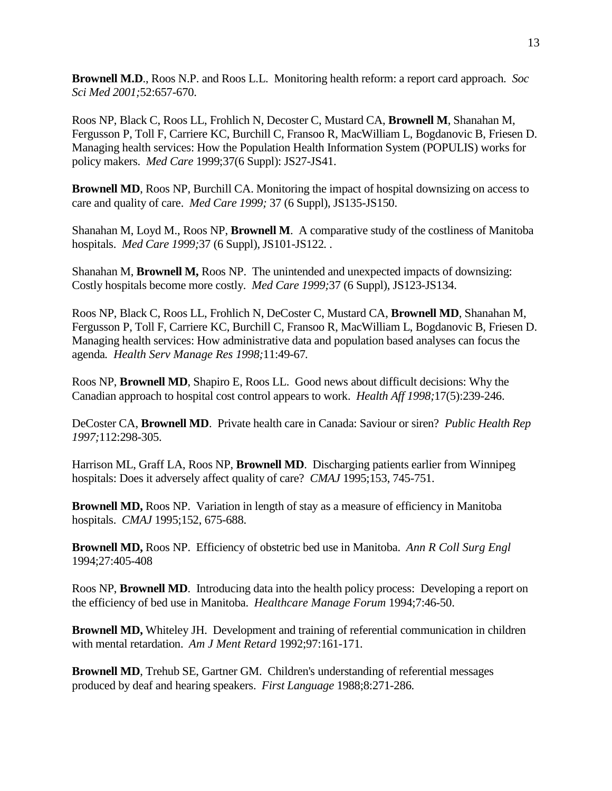**Brownell M.D**., Roos N.P. and Roos L.L. Monitoring health reform: a report card approach. *Soc Sci Med 2001;*52:657-670.

Roos NP, Black C, Roos LL, Frohlich N, Decoster C, Mustard CA, **Brownell M**, Shanahan M, Fergusson P, Toll F, Carriere KC, Burchill C, Fransoo R, MacWilliam L, Bogdanovic B, Friesen D. Managing health services: How the Population Health Information System (POPULIS) works for policy makers. *Med Care* 1999;37(6 Suppl): JS27-JS41.

**Brownell MD**, Roos NP, Burchill CA. Monitoring the impact of hospital downsizing on access to care and quality of care. *Med Care 1999;* 37 (6 Suppl), JS135-JS150.

Shanahan M, Loyd M., Roos NP, **Brownell M**. A comparative study of the costliness of Manitoba hospitals. *Med Care 1999;*37 (6 Suppl), JS101-JS122*. .* 

Shanahan M, **Brownell M,** Roos NP. The unintended and unexpected impacts of downsizing: Costly hospitals become more costly. *Med Care 1999;*37 (6 Suppl), JS123-JS134.

Roos NP, Black C, Roos LL, Frohlich N, DeCoster C, Mustard CA, **Brownell MD**, Shanahan M, Fergusson P, Toll F, Carriere KC, Burchill C, Fransoo R, MacWilliam L, Bogdanovic B, Friesen D. Managing health services: How administrative data and population based analyses can focus the agenda*. Health Serv Manage Res 1998;*11:49-67*.* 

Roos NP, **Brownell MD**, Shapiro E, Roos LL. Good news about difficult decisions: Why the Canadian approach to hospital cost control appears to work. *Health Aff 1998;*17(5):239-246.

DeCoster CA, **Brownell MD**. Private health care in Canada: Saviour or siren? *Public Health Rep 1997;*112:298-305.

Harrison ML, Graff LA, Roos NP, **Brownell MD**. Discharging patients earlier from Winnipeg hospitals: Does it adversely affect quality of care? *CMAJ* 1995;153, 745-751.

**Brownell MD,** Roos NP. Variation in length of stay as a measure of efficiency in Manitoba hospitals. *CMAJ* 1995;152, 675-688.

**Brownell MD,** Roos NP. Efficiency of obstetric bed use in Manitoba. *Ann R Coll Surg Engl* 1994;27:405-408

Roos NP, **Brownell MD**. Introducing data into the health policy process: Developing a report on the efficiency of bed use in Manitoba. *Healthcare Manage Forum* 1994;7:46-50.

**Brownell MD,** Whiteley JH. Development and training of referential communication in children with mental retardation. *Am J Ment Retard* 1992;97:161-171.

**Brownell MD**, Trehub SE, Gartner GM. Children's understanding of referential messages produced by deaf and hearing speakers. *First Language* 1988;8:271-286.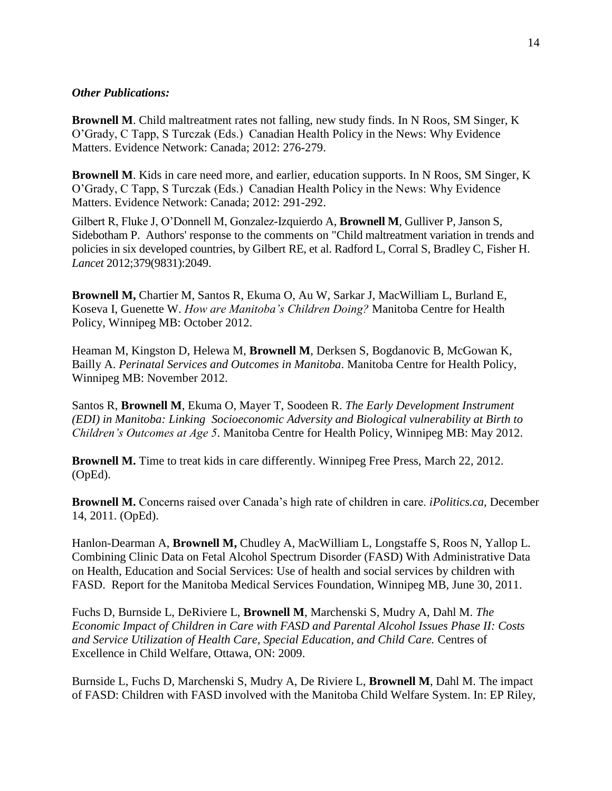#### *Other Publications:*

**Brownell M**. Child maltreatment rates not falling, new study finds. In N Roos, SM Singer, K O'Grady, C Tapp, S Turczak (Eds.) Canadian Health Policy in the News: Why Evidence Matters. Evidence Network: Canada; 2012: 276-279.

**Brownell M**. Kids in care need more, and earlier, education supports. In N Roos, SM Singer, K O'Grady, C Tapp, S Turczak (Eds.) Canadian Health Policy in the News: Why Evidence Matters. Evidence Network: Canada; 2012: 291-292.

Gilbert R, Fluke J, O'Donnell M, Gonzalez-Izquierdo A, **Brownell M**, Gulliver P, Janson S, Sidebotham P. Authors' response to the comments on "Child maltreatment variation in trends and policies in six developed countries, by Gilbert RE, et al. Radford L, Corral S, Bradley C, Fisher H. *Lancet* 2012;379(9831):2049.

**Brownell M,** Chartier M, Santos R, Ekuma O, Au W, Sarkar J, MacWilliam L, Burland E, Koseva I, Guenette W. *How are Manitoba's Children Doing?* Manitoba Centre for Health Policy, Winnipeg MB: October 2012.

Heaman M, Kingston D, Helewa M, **Brownell M**, Derksen S, Bogdanovic B, McGowan K, Bailly A. *Perinatal Services and Outcomes in Manitoba*. Manitoba Centre for Health Policy, Winnipeg MB: November 2012.

Santos R, **Brownell M**, Ekuma O, Mayer T, Soodeen R. *The Early Development Instrument (EDI) in Manitoba: Linking Socioeconomic Adversity and Biological vulnerability at Birth to Children's Outcomes at Age 5*. Manitoba Centre for Health Policy, Winnipeg MB: May 2012.

**Brownell M.** Time to treat kids in care differently. Winnipeg Free Press, March 22, 2012. (OpEd).

**Brownell M.** Concerns raised over Canada's high rate of children in care. *iPolitics.ca*, December 14, 2011. (OpEd).

Hanlon-Dearman A, **Brownell M,** Chudley A, MacWilliam L, Longstaffe S, Roos N, Yallop L. Combining Clinic Data on Fetal Alcohol Spectrum Disorder (FASD) With Administrative Data on Health, Education and Social Services: Use of health and social services by children with FASD. Report for the Manitoba Medical Services Foundation, Winnipeg MB, June 30, 2011.

Fuchs D, Burnside L, DeRiviere L, **Brownell M**, Marchenski S, Mudry A, Dahl M. *The Economic Impact of Children in Care with FASD and Parental Alcohol Issues Phase II: Costs and Service Utilization of Health Care, Special Education, and Child Care.* Centres of Excellence in Child Welfare, Ottawa, ON: 2009.

Burnside L, Fuchs D, Marchenski S, Mudry A, De Riviere L, **Brownell M**, Dahl M. The impact of FASD: Children with FASD involved with the Manitoba Child Welfare System. In: EP Riley,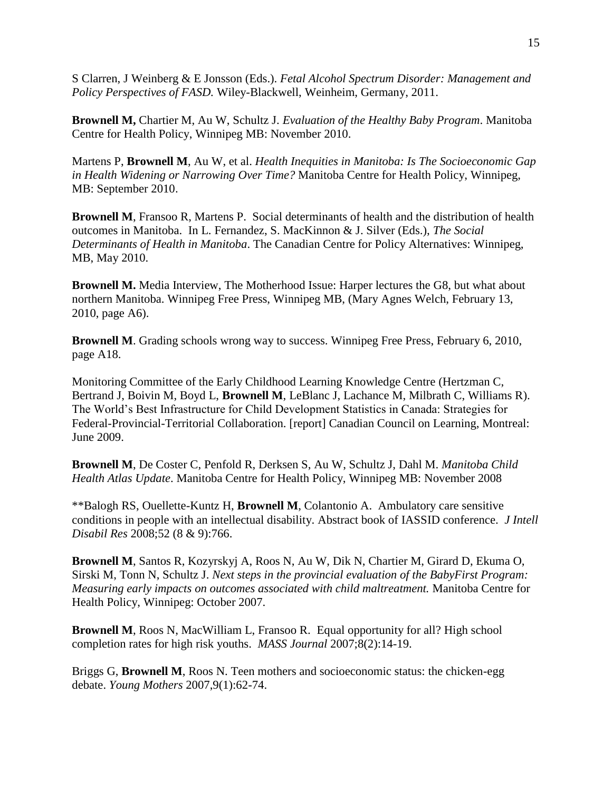S Clarren, J Weinberg & E Jonsson (Eds.). *Fetal Alcohol Spectrum Disorder: Management and Policy Perspectives of FASD.* Wiley-Blackwell, Weinheim, Germany, 2011.

**Brownell M,** Chartier M, Au W, Schultz J. *Evaluation of the Healthy Baby Program*. Manitoba Centre for Health Policy, Winnipeg MB: November 2010.

Martens P, **Brownell M**, Au W, et al. *Health Inequities in Manitoba: Is The Socioeconomic Gap in Health Widening or Narrowing Over Time?* Manitoba Centre for Health Policy, Winnipeg, MB: September 2010.

**Brownell M**, Fransoo R, Martens P. Social determinants of health and the distribution of health outcomes in Manitoba. In L. Fernandez, S. MacKinnon & J. Silver (Eds.), *The Social Determinants of Health in Manitoba*. The Canadian Centre for Policy Alternatives: Winnipeg, MB, May 2010.

**Brownell M.** Media Interview, The Motherhood Issue: Harper lectures the G8, but what about northern Manitoba. Winnipeg Free Press, Winnipeg MB, (Mary Agnes Welch, February 13, 2010, page A6).

**Brownell M**. Grading schools wrong way to success. Winnipeg Free Press, February 6, 2010, page A18.

Monitoring Committee of the Early Childhood Learning Knowledge Centre (Hertzman C, Bertrand J, Boivin M, Boyd L, **Brownell M**, LeBlanc J, Lachance M, Milbrath C, Williams R). The World's Best Infrastructure for Child Development Statistics in Canada: Strategies for Federal-Provincial-Territorial Collaboration. [report] Canadian Council on Learning, Montreal: June 2009.

**Brownell M**, De Coster C, Penfold R, Derksen S, Au W, Schultz J, Dahl M. *Manitoba Child Health Atlas Update*. Manitoba Centre for Health Policy, Winnipeg MB: November 2008

\*\*Balogh RS, Ouellette-Kuntz H, **Brownell M**, Colantonio A. Ambulatory care sensitive conditions in people with an intellectual disability. Abstract book of IASSID conference. *J Intell Disabil Res* 2008;52 (8 & 9):766.

**Brownell M**, Santos R, Kozyrskyj A, Roos N, Au W, Dik N, Chartier M, Girard D, Ekuma O, Sirski M, Tonn N, Schultz J. *Next steps in the provincial evaluation of the BabyFirst Program: Measuring early impacts on outcomes associated with child maltreatment.* Manitoba Centre for Health Policy, Winnipeg: October 2007.

**Brownell M**, Roos N, MacWilliam L, Fransoo R. Equal opportunity for all? High school completion rates for high risk youths. *MASS Journal* 2007;8(2):14-19.

Briggs G, **Brownell M**, Roos N. Teen mothers and socioeconomic status: the chicken-egg debate. *Young Mothers* 2007,9(1):62-74.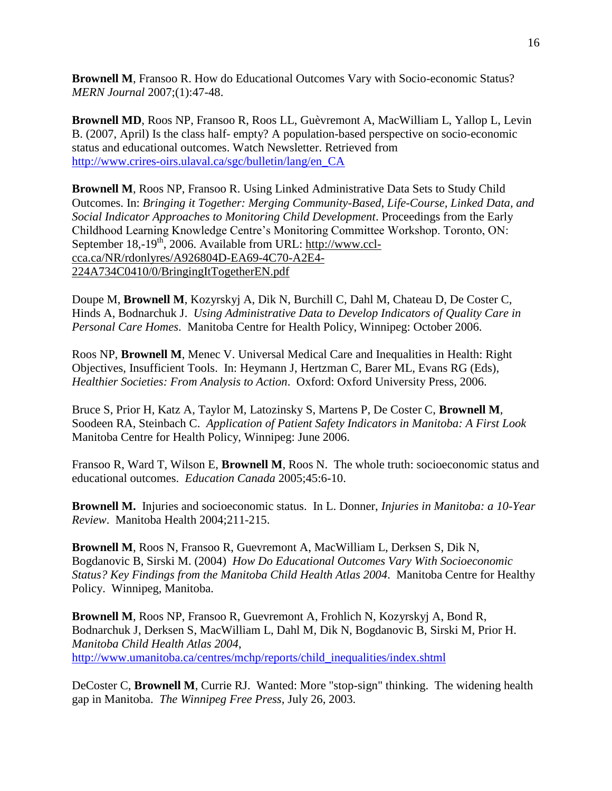**Brownell M**, Fransoo R. How do Educational Outcomes Vary with Socio-economic Status? *MERN Journal* 2007;(1):47-48.

**Brownell MD**, Roos NP, Fransoo R, Roos LL, Guèvremont A, MacWilliam L, Yallop L, Levin B. (2007, April) Is the class half- empty? A population-based perspective on socio-economic status and educational outcomes. Watch Newsletter. Retrieved from [http://www.crires-oirs.ulaval.ca/sgc/bulletin/lang/en\\_CA](http://www.crires-oirs.ulaval.ca/sgc/bulletin/lang/en_CA)

**Brownell M**, Roos NP, Fransoo R. Using Linked Administrative Data Sets to Study Child Outcomes. In: *Bringing it Together: Merging Community-Based, Life-Course, Linked Data, and Social Indicator Approaches to Monitoring Child Development*. Proceedings from the Early Childhood Learning Knowledge Centre's Monitoring Committee Workshop. Toronto, ON: September 18,-19<sup>th</sup>, 2006. Available from URL: [http://www.ccl](http://www.ccl-cca.ca/NR/rdonlyres/A926804D-EA69-4C70-A2E4-224A734C0410/0/BringingItTogetherEN.pdf)[cca.ca/NR/rdonlyres/A926804D-EA69-4C70-A2E4-](http://www.ccl-cca.ca/NR/rdonlyres/A926804D-EA69-4C70-A2E4-224A734C0410/0/BringingItTogetherEN.pdf) [224A734C0410/0/BringingItTogetherEN.pdf](http://www.ccl-cca.ca/NR/rdonlyres/A926804D-EA69-4C70-A2E4-224A734C0410/0/BringingItTogetherEN.pdf)

Doupe M, **Brownell M**, Kozyrskyj A, Dik N, Burchill C, Dahl M, Chateau D, De Coster C, Hinds A, Bodnarchuk J. *Using Administrative Data to Develop Indicators of Quality Care in Personal Care Homes*. Manitoba Centre for Health Policy, Winnipeg: October 2006.

Roos NP, **Brownell M**, Menec V. Universal Medical Care and Inequalities in Health: Right Objectives, Insufficient Tools. In: Heymann J, Hertzman C, Barer ML, Evans RG (Eds), *Healthier Societies: From Analysis to Action*. Oxford: Oxford University Press, 2006.

Bruce S, Prior H, Katz A, Taylor M, Latozinsky S, Martens P, De Coster C, **Brownell M**, Soodeen RA, Steinbach C. *Application of Patient Safety Indicators in Manitoba: A First Look* Manitoba Centre for Health Policy, Winnipeg: June 2006.

Fransoo R, Ward T, Wilson E, **Brownell M**, Roos N. The whole truth: socioeconomic status and educational outcomes. *Education Canada* 2005;45:6-10.

**Brownell M.** Injuries and socioeconomic status. In L. Donner, *Injuries in Manitoba: a 10-Year Review*. Manitoba Health 2004;211-215.

**Brownell M**, Roos N, Fransoo R, Guevremont A, MacWilliam L, Derksen S, Dik N, Bogdanovic B, Sirski M. (2004) *How Do Educational Outcomes Vary With Socioeconomic Status? Key Findings from the Manitoba Child Health Atlas 2004*. Manitoba Centre for Healthy Policy. Winnipeg, Manitoba.

**Brownell M**, Roos NP, Fransoo R, Guevremont A, Frohlich N, Kozyrskyj A, Bond R, Bodnarchuk J, Derksen S, MacWilliam L, Dahl M, Dik N, Bogdanovic B, Sirski M, Prior H. *Manitoba Child Health Atlas 2004*, [http://www.umanitoba.ca/centres/mchp/reports/child\\_inequalities/index.shtml](http://www.umanitoba.ca/centres/mchp/reports/child_inequalities/index.shtml)

DeCoster C, **Brownell M**, Currie RJ. Wanted: More "stop-sign" thinking. The widening health gap in Manitoba. *The Winnipeg Free Press*, July 26, 2003.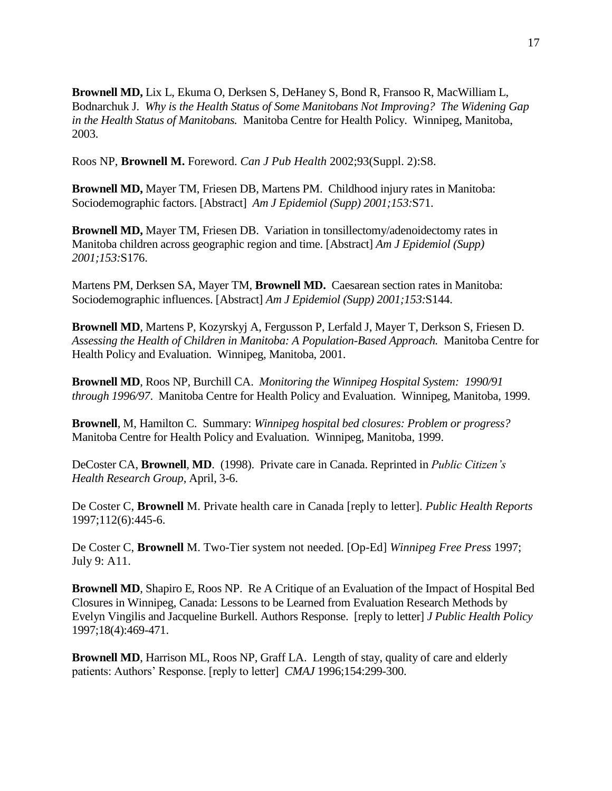**Brownell MD,** Lix L, Ekuma O, Derksen S, DeHaney S, Bond R, Fransoo R, MacWilliam L, Bodnarchuk J. *Why is the Health Status of Some Manitobans Not Improving? The Widening Gap in the Health Status of Manitobans.* Manitoba Centre for Health Policy. Winnipeg, Manitoba, 2003.

Roos NP, **Brownell M.** Foreword. *Can J Pub Health* 2002;93(Suppl. 2):S8.

**Brownell MD,** Mayer TM, Friesen DB, Martens PM. Childhood injury rates in Manitoba: Sociodemographic factors. [Abstract] *Am J Epidemiol (Supp) 2001;153:*S71.

**Brownell MD,** Mayer TM, Friesen DB. Variation in tonsillectomy/adenoidectomy rates in Manitoba children across geographic region and time. [Abstract] *Am J Epidemiol (Supp) 2001;153:*S176.

Martens PM, Derksen SA, Mayer TM, **Brownell MD.** Caesarean section rates in Manitoba: Sociodemographic influences. [Abstract] *Am J Epidemiol (Supp) 2001;153:*S144.

**Brownell MD**, Martens P, Kozyrskyj A, Fergusson P, Lerfald J, Mayer T, Derkson S, Friesen D. *Assessing the Health of Children in Manitoba: A Population-Based Approach.* Manitoba Centre for Health Policy and Evaluation. Winnipeg, Manitoba, 2001.

**Brownell MD**, Roos NP, Burchill CA. *Monitoring the Winnipeg Hospital System: 1990/91 through 1996/97*. Manitoba Centre for Health Policy and Evaluation. Winnipeg, Manitoba, 1999.

**Brownell**, M, Hamilton C. Summary: *Winnipeg hospital bed closures: Problem or progress?* Manitoba Centre for Health Policy and Evaluation. Winnipeg, Manitoba, 1999.

DeCoster CA, **Brownell**, **MD**. (1998). Private care in Canada. Reprinted in *Public Citizen's Health Research Group*, April, 3-6.

De Coster C, **Brownell** M. Private health care in Canada [reply to letter]. *Public Health Reports* 1997;112(6):445-6.

De Coster C, **Brownell** M. Two-Tier system not needed. [Op-Ed] *Winnipeg Free Press* 1997; July 9: A11.

**Brownell MD**, Shapiro E, Roos NP. Re A Critique of an Evaluation of the Impact of Hospital Bed Closures in Winnipeg, Canada: Lessons to be Learned from Evaluation Research Methods by Evelyn Vingilis and Jacqueline Burkell. Authors Response. [reply to letter] *J Public Health Policy* 1997;18(4):469-471.

**Brownell MD**, Harrison ML, Roos NP, Graff LA. Length of stay, quality of care and elderly patients: Authors' Response. [reply to letter] *CMAJ* 1996;154:299-300.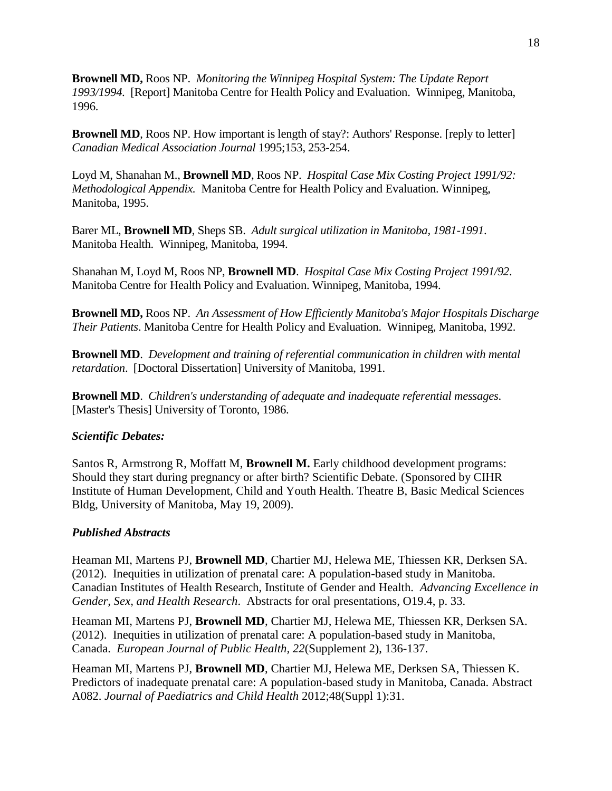**Brownell MD,** Roos NP. *Monitoring the Winnipeg Hospital System: The Update Report 1993/1994*. [Report] Manitoba Centre for Health Policy and Evaluation. Winnipeg, Manitoba, 1996.

**Brownell MD**, Roos NP. How important is length of stay?: Authors' Response. [reply to letter] *Canadian Medical Association Journal* 1995;153, 253-254.

Loyd M, Shanahan M., **Brownell MD**, Roos NP. *Hospital Case Mix Costing Project 1991/92: Methodological Appendix.* Manitoba Centre for Health Policy and Evaluation. Winnipeg, Manitoba, 1995.

Barer ML, **Brownell MD**, Sheps SB. *Adult surgical utilization in Manitoba, 1981-1991*. Manitoba Health. Winnipeg, Manitoba, 1994.

Shanahan M, Loyd M, Roos NP, **Brownell MD**. *Hospital Case Mix Costing Project 1991/92*. Manitoba Centre for Health Policy and Evaluation. Winnipeg, Manitoba, 1994.

**Brownell MD,** Roos NP. *An Assessment of How Efficiently Manitoba's Major Hospitals Discharge Their Patients*. Manitoba Centre for Health Policy and Evaluation. Winnipeg, Manitoba, 1992.

**Brownell MD**. *Development and training of referential communication in children with mental retardation*. [Doctoral Dissertation] University of Manitoba, 1991.

**Brownell MD**. *Children's understanding of adequate and inadequate referential messages*. [Master's Thesis] University of Toronto, 1986.

## *Scientific Debates:*

Santos R, Armstrong R, Moffatt M, **Brownell M.** Early childhood development programs: Should they start during pregnancy or after birth? Scientific Debate. (Sponsored by CIHR Institute of Human Development, Child and Youth Health. Theatre B, Basic Medical Sciences Bldg, University of Manitoba, May 19, 2009).

## *Published Abstracts*

Heaman MI, Martens PJ, **Brownell MD**, Chartier MJ, Helewa ME, Thiessen KR, Derksen SA. (2012). Inequities in utilization of prenatal care: A population-based study in Manitoba. Canadian Institutes of Health Research, Institute of Gender and Health. *Advancing Excellence in Gender, Sex, and Health Research*. Abstracts for oral presentations, O19.4, p. 33.

Heaman MI, Martens PJ, **Brownell MD**, Chartier MJ, Helewa ME, Thiessen KR, Derksen SA. (2012). Inequities in utilization of prenatal care: A population-based study in Manitoba, Canada. *European Journal of Public Health, 22*(Supplement 2), 136-137.

Heaman MI, Martens PJ, **Brownell MD**, Chartier MJ, Helewa ME, Derksen SA, Thiessen K. Predictors of inadequate prenatal care: A population-based study in Manitoba, Canada. Abstract A082. *Journal of Paediatrics and Child Health* 2012;48(Suppl 1):31.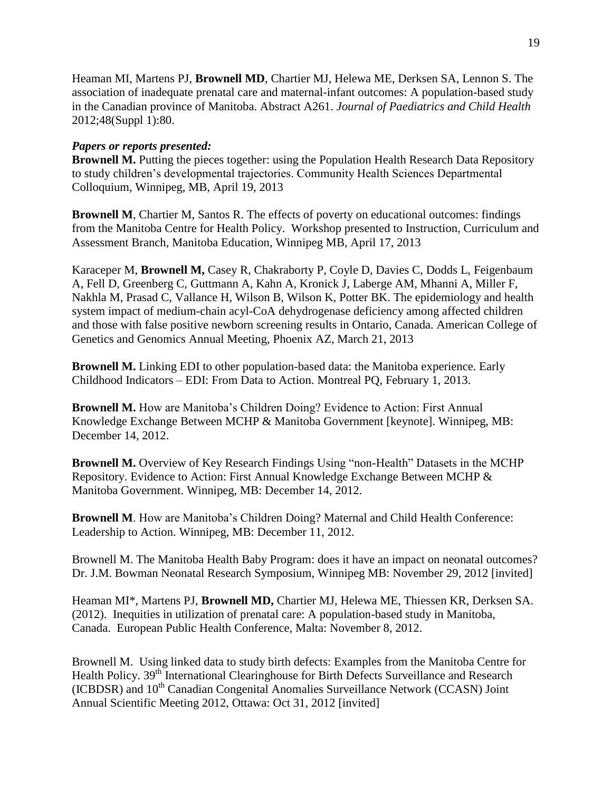Heaman MI, Martens PJ, **Brownell MD**, Chartier MJ, Helewa ME, Derksen SA, Lennon S. The association of inadequate prenatal care and maternal-infant outcomes: A population-based study in the Canadian province of Manitoba. Abstract A261. *Journal of Paediatrics and Child Health* 2012;48(Suppl 1):80.

## *Papers or reports presented:*

**Brownell M.** Putting the pieces together: using the Population Health Research Data Repository to study children's developmental trajectories. Community Health Sciences Departmental Colloquium, Winnipeg, MB, April 19, 2013

**Brownell M**, Chartier M, Santos R. The effects of poverty on educational outcomes: findings from the Manitoba Centre for Health Policy. Workshop presented to Instruction, Curriculum and Assessment Branch, Manitoba Education, Winnipeg MB, April 17, 2013

Karaceper M, **Brownell M,** Casey R, Chakraborty P, Coyle D, Davies C, Dodds L, Feigenbaum A, Fell D, Greenberg C, Guttmann A, Kahn A, Kronick J, Laberge AM, Mhanni A, Miller F, Nakhla M, Prasad C, Vallance H, Wilson B, Wilson K, Potter BK. The epidemiology and health system impact of medium-chain acyl-CoA dehydrogenase deficiency among affected children and those with false positive newborn screening results in Ontario, Canada. American College of Genetics and Genomics Annual Meeting, Phoenix AZ, March 21, 2013

**Brownell M.** Linking EDI to other population-based data: the Manitoba experience. Early Childhood Indicators – EDI: From Data to Action. Montreal PQ, February 1, 2013.

**Brownell M.** How are Manitoba's Children Doing? Evidence to Action: First Annual Knowledge Exchange Between MCHP & Manitoba Government [keynote]. Winnipeg, MB: December 14, 2012.

**Brownell M.** Overview of Key Research Findings Using "non-Health" Datasets in the MCHP Repository. Evidence to Action: First Annual Knowledge Exchange Between MCHP & Manitoba Government. Winnipeg, MB: December 14, 2012.

**Brownell M**. How are Manitoba's Children Doing? Maternal and Child Health Conference: Leadership to Action. Winnipeg, MB: December 11, 2012.

Brownell M. The Manitoba Health Baby Program: does it have an impact on neonatal outcomes? Dr. J.M. Bowman Neonatal Research Symposium, Winnipeg MB: November 29, 2012 [invited]

Heaman MI\*, Martens PJ, **Brownell MD,** Chartier MJ, Helewa ME, Thiessen KR, Derksen SA. (2012). Inequities in utilization of prenatal care: A population-based study in Manitoba, Canada. European Public Health Conference, Malta: November 8, 2012.

Brownell M. Using linked data to study birth defects: Examples from the Manitoba Centre for Health Policy. 39<sup>th</sup> International Clearinghouse for Birth Defects Surveillance and Research (ICBDSR) and 10<sup>th</sup> Canadian Congenital Anomalies Surveillance Network (CCASN) Joint Annual Scientific Meeting 2012, Ottawa: Oct 31, 2012 [invited]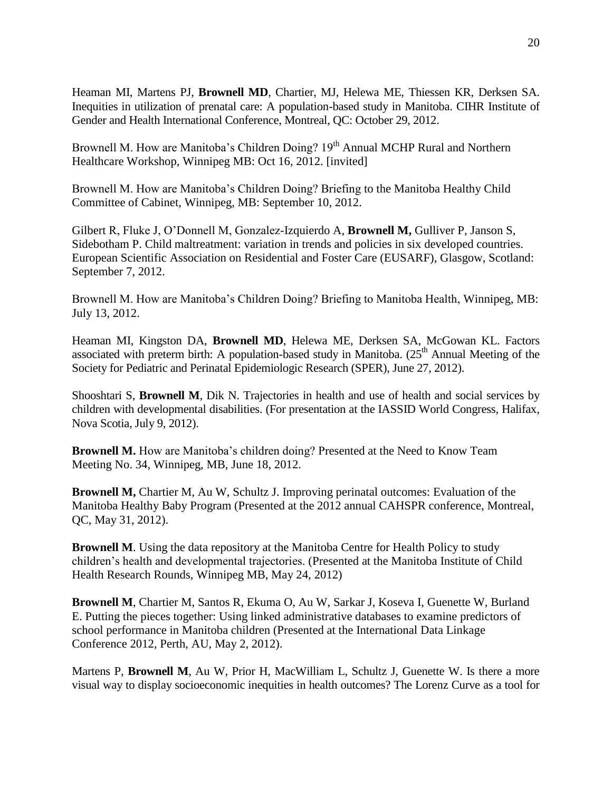Heaman MI, Martens PJ, **Brownell MD**, Chartier, MJ, Helewa ME, Thiessen KR, Derksen SA. Inequities in utilization of prenatal care: A population-based study in Manitoba. CIHR Institute of Gender and Health International Conference, Montreal, QC: October 29, 2012.

Brownell M. How are Manitoba's Children Doing? 19<sup>th</sup> Annual MCHP Rural and Northern Healthcare Workshop, Winnipeg MB: Oct 16, 2012. [invited]

Brownell M. How are Manitoba's Children Doing? Briefing to the Manitoba Healthy Child Committee of Cabinet, Winnipeg, MB: September 10, 2012.

Gilbert R, Fluke J, O'Donnell M, Gonzalez-Izquierdo A, **Brownell M,** Gulliver P, Janson S, Sidebotham P. Child maltreatment: variation in trends and policies in six developed countries. European Scientific Association on Residential and Foster Care (EUSARF), Glasgow, Scotland: September 7, 2012.

Brownell M. How are Manitoba's Children Doing? Briefing to Manitoba Health, Winnipeg, MB: July 13, 2012.

Heaman MI, Kingston DA, **Brownell MD**, Helewa ME, Derksen SA, McGowan KL. Factors associated with preterm birth: A population-based study in Manitoba.  $(25<sup>th</sup>$  Annual Meeting of the Society for Pediatric and Perinatal Epidemiologic Research (SPER), June 27, 2012).

Shooshtari S, **Brownell M**, Dik N. Trajectories in health and use of health and social services by children with developmental disabilities. (For presentation at the IASSID World Congress, Halifax, Nova Scotia, July 9, 2012).

**Brownell M.** How are Manitoba's children doing? Presented at the Need to Know Team Meeting No. 34, Winnipeg, MB, June 18, 2012.

**Brownell M,** Chartier M, Au W, Schultz J. Improving perinatal outcomes: Evaluation of the Manitoba Healthy Baby Program (Presented at the 2012 annual CAHSPR conference, Montreal, QC, May 31, 2012).

**Brownell M.** Using the data repository at the Manitoba Centre for Health Policy to study children's health and developmental trajectories. (Presented at the Manitoba Institute of Child Health Research Rounds, Winnipeg MB, May 24, 2012)

**Brownell M**, Chartier M, Santos R, Ekuma O, Au W, Sarkar J, Koseva I, Guenette W, Burland E. Putting the pieces together: Using linked administrative databases to examine predictors of school performance in Manitoba children (Presented at the International Data Linkage Conference 2012, Perth, AU, May 2, 2012).

Martens P, **Brownell M**, Au W, Prior H, MacWilliam L, Schultz J, Guenette W. Is there a more visual way to display socioeconomic inequities in health outcomes? The Lorenz Curve as a tool for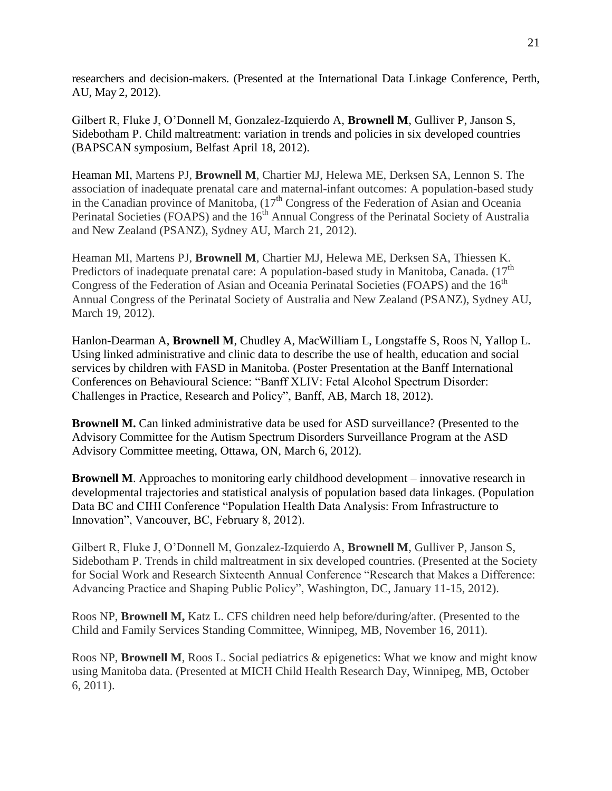researchers and decision-makers. (Presented at the International Data Linkage Conference, Perth, AU, May 2, 2012).

Gilbert R, Fluke J, O'Donnell M, Gonzalez-Izquierdo A, **Brownell M**, Gulliver P, Janson S, Sidebotham P. Child maltreatment: variation in trends and policies in six developed countries (BAPSCAN symposium, Belfast April 18, 2012).

Heaman MI, Martens PJ, **Brownell M**, Chartier MJ, Helewa ME, Derksen SA, Lennon S. The association of inadequate prenatal care and maternal-infant outcomes: A population-based study in the Canadian province of Manitoba,  $(17<sup>th</sup>$  Congress of the Federation of Asian and Oceania Perinatal Societies (FOAPS) and the  $16<sup>th</sup>$  Annual Congress of the Perinatal Society of Australia and New Zealand (PSANZ), Sydney AU, March 21, 2012).

Heaman MI, Martens PJ, **Brownell M**, Chartier MJ, Helewa ME, Derksen SA, Thiessen K. Predictors of inadequate prenatal care: A population-based study in Manitoba, Canada.  $(17<sup>th</sup>$ Congress of the Federation of Asian and Oceania Perinatal Societies (FOAPS) and the 16<sup>th</sup> Annual Congress of the Perinatal Society of Australia and New Zealand (PSANZ), Sydney AU, March 19, 2012).

Hanlon-Dearman A, **Brownell M**, Chudley A, MacWilliam L, Longstaffe S, Roos N, Yallop L. Using linked administrative and clinic data to describe the use of health, education and social services by children with FASD in Manitoba. (Poster Presentation at the Banff International Conferences on Behavioural Science: "Banff XLIV: Fetal Alcohol Spectrum Disorder: Challenges in Practice, Research and Policy", Banff, AB, March 18, 2012).

**Brownell M.** Can linked administrative data be used for ASD surveillance? (Presented to the Advisory Committee for the Autism Spectrum Disorders Surveillance Program at the ASD Advisory Committee meeting, Ottawa, ON, March 6, 2012).

**Brownell M.** Approaches to monitoring early childhood development – innovative research in developmental trajectories and statistical analysis of population based data linkages. (Population Data BC and CIHI Conference "Population Health Data Analysis: From Infrastructure to Innovation", Vancouver, BC, February 8, 2012).

Gilbert R, Fluke J, O'Donnell M, Gonzalez-Izquierdo A, **Brownell M**, Gulliver P, Janson S, Sidebotham P. Trends in child maltreatment in six developed countries. (Presented at the Society for Social Work and Research Sixteenth Annual Conference "Research that Makes a Difference: Advancing Practice and Shaping Public Policy", Washington, DC, January 11-15, 2012).

Roos NP, **Brownell M,** Katz L. CFS children need help before/during/after. (Presented to the Child and Family Services Standing Committee, Winnipeg, MB, November 16, 2011).

Roos NP, **Brownell M**, Roos L. Social pediatrics & epigenetics: What we know and might know using Manitoba data. (Presented at MICH Child Health Research Day, Winnipeg, MB, October 6, 2011).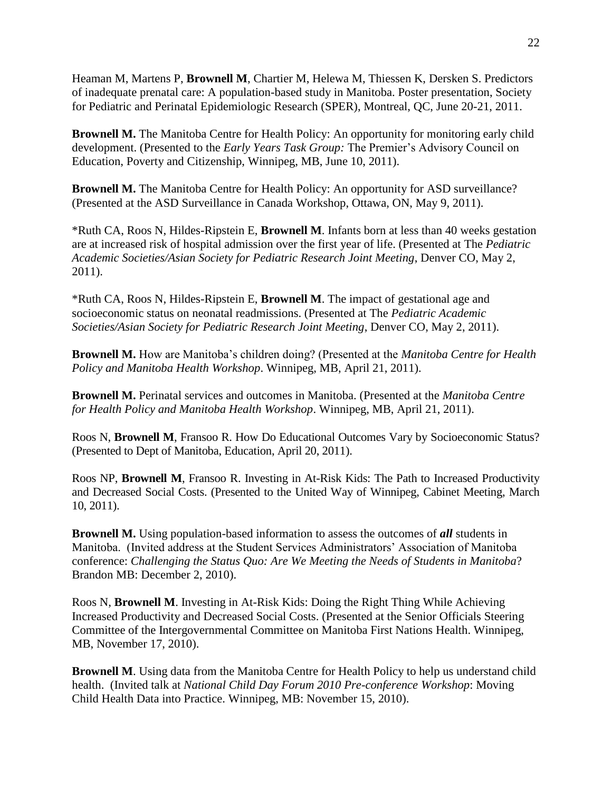Heaman M, Martens P, **Brownell M**, Chartier M, Helewa M, Thiessen K, Dersken S. Predictors of inadequate prenatal care: A population-based study in Manitoba. Poster presentation, Society for Pediatric and Perinatal Epidemiologic Research (SPER), Montreal, QC, June 20-21, 2011.

**Brownell M.** The Manitoba Centre for Health Policy: An opportunity for monitoring early child development. (Presented to the *Early Years Task Group:* The Premier's Advisory Council on Education, Poverty and Citizenship, Winnipeg, MB, June 10, 2011).

**Brownell M.** The Manitoba Centre for Health Policy: An opportunity for ASD surveillance? (Presented at the ASD Surveillance in Canada Workshop, Ottawa, ON, May 9, 2011).

\*Ruth CA, Roos N, Hildes-Ripstein E, **Brownell M**. Infants born at less than 40 weeks gestation are at increased risk of hospital admission over the first year of life. (Presented at The *Pediatric Academic Societies/Asian Society for Pediatric Research Joint Meeting*, Denver CO, May 2, 2011).

\*Ruth CA, Roos N, Hildes-Ripstein E, **Brownell M**. The impact of gestational age and socioeconomic status on neonatal readmissions. (Presented at The *Pediatric Academic Societies/Asian Society for Pediatric Research Joint Meeting*, Denver CO, May 2, 2011).

**Brownell M.** How are Manitoba's children doing? (Presented at the *Manitoba Centre for Health Policy and Manitoba Health Workshop*. Winnipeg, MB, April 21, 2011).

**Brownell M.** Perinatal services and outcomes in Manitoba. (Presented at the *Manitoba Centre for Health Policy and Manitoba Health Workshop*. Winnipeg, MB, April 21, 2011).

Roos N, **Brownell M**, Fransoo R. How Do Educational Outcomes Vary by Socioeconomic Status? (Presented to Dept of Manitoba, Education, April 20, 2011).

Roos NP, **Brownell M**, Fransoo R. Investing in At-Risk Kids: The Path to Increased Productivity and Decreased Social Costs. (Presented to the United Way of Winnipeg, Cabinet Meeting, March 10, 2011).

**Brownell M.** Using population-based information to assess the outcomes of *all* students in Manitoba. (Invited address at the Student Services Administrators' Association of Manitoba conference: *Challenging the Status Quo: Are We Meeting the Needs of Students in Manitoba*? Brandon MB: December 2, 2010).

Roos N, **Brownell M**. Investing in At-Risk Kids: Doing the Right Thing While Achieving Increased Productivity and Decreased Social Costs. (Presented at the Senior Officials Steering Committee of the Intergovernmental Committee on Manitoba First Nations Health. Winnipeg, MB, November 17, 2010).

**Brownell M**. Using data from the Manitoba Centre for Health Policy to help us understand child health. (Invited talk at *National Child Day Forum 2010 Pre-conference Workshop*: Moving Child Health Data into Practice. Winnipeg, MB: November 15, 2010).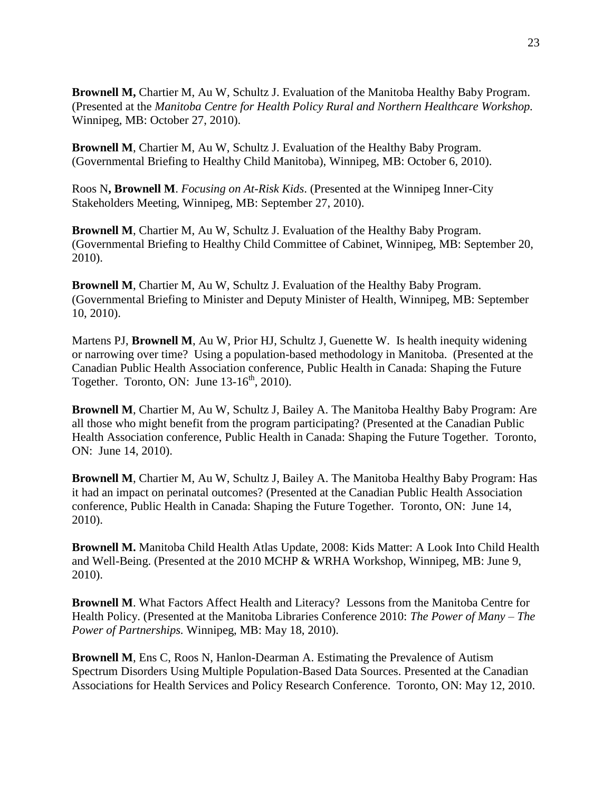**Brownell M,** Chartier M, Au W, Schultz J. Evaluation of the Manitoba Healthy Baby Program. (Presented at the *Manitoba Centre for Health Policy Rural and Northern Healthcare Workshop.* Winnipeg, MB: October 27, 2010).

**Brownell M**, Chartier M, Au W, Schultz J. Evaluation of the Healthy Baby Program. (Governmental Briefing to Healthy Child Manitoba), Winnipeg, MB: October 6, 2010).

Roos N**, Brownell M**. *Focusing on At-Risk Kids*. (Presented at the Winnipeg Inner-City Stakeholders Meeting, Winnipeg, MB: September 27, 2010).

**Brownell M**, Chartier M, Au W, Schultz J. Evaluation of the Healthy Baby Program. (Governmental Briefing to Healthy Child Committee of Cabinet, Winnipeg, MB: September 20, 2010).

**Brownell M**, Chartier M, Au W, Schultz J. Evaluation of the Healthy Baby Program. (Governmental Briefing to Minister and Deputy Minister of Health, Winnipeg, MB: September 10, 2010).

Martens PJ, **Brownell M**, Au W, Prior HJ, Schultz J, Guenette W. Is health inequity widening or narrowing over time? Using a population-based methodology in Manitoba. (Presented at the Canadian Public Health Association conference, Public Health in Canada: Shaping the Future Together. Toronto, ON: June  $13-16^{th}$ , 2010).

**Brownell M**, Chartier M, Au W, Schultz J, Bailey A. The Manitoba Healthy Baby Program: Are all those who might benefit from the program participating? (Presented at the Canadian Public Health Association conference, Public Health in Canada: Shaping the Future Together. Toronto, ON: June 14, 2010).

**Brownell M**, Chartier M, Au W, Schultz J, Bailey A. The Manitoba Healthy Baby Program: Has it had an impact on perinatal outcomes? (Presented at the Canadian Public Health Association conference, Public Health in Canada: Shaping the Future Together. Toronto, ON: June 14, 2010).

**Brownell M.** Manitoba Child Health Atlas Update, 2008: Kids Matter: A Look Into Child Health and Well-Being. (Presented at the 2010 MCHP & WRHA Workshop, Winnipeg, MB: June 9, 2010).

**Brownell M**. What Factors Affect Health and Literacy? Lessons from the Manitoba Centre for Health Policy. (Presented at the Manitoba Libraries Conference 2010: *The Power of Many – The Power of Partnerships.* Winnipeg, MB: May 18, 2010).

**Brownell M**, Ens C, Roos N, Hanlon-Dearman A. Estimating the Prevalence of Autism Spectrum Disorders Using Multiple Population-Based Data Sources. Presented at the Canadian Associations for Health Services and Policy Research Conference. Toronto, ON: May 12, 2010.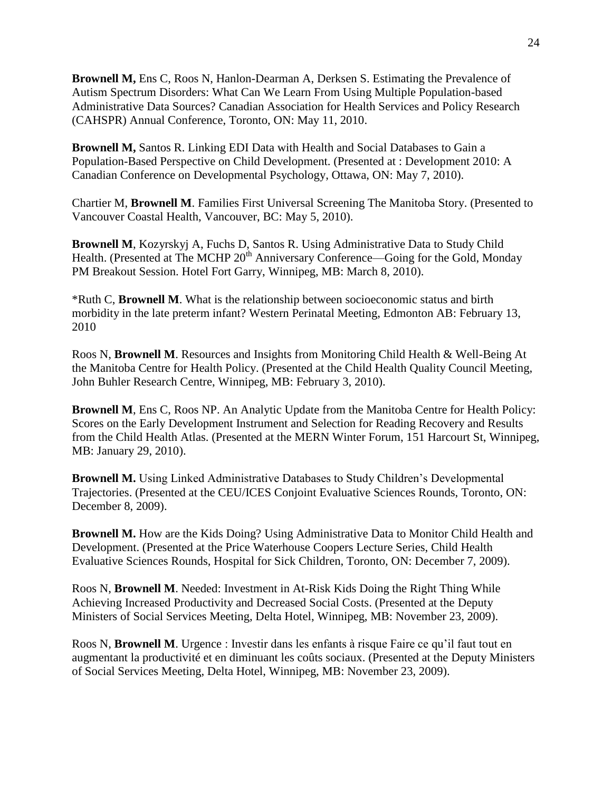**Brownell M,** Ens C, Roos N, Hanlon-Dearman A, Derksen S. Estimating the Prevalence of Autism Spectrum Disorders: What Can We Learn From Using Multiple Population-based Administrative Data Sources? Canadian Association for Health Services and Policy Research (CAHSPR) Annual Conference, Toronto, ON: May 11, 2010.

**Brownell M,** Santos R. Linking EDI Data with Health and Social Databases to Gain a Population-Based Perspective on Child Development. (Presented at : Development 2010: A Canadian Conference on Developmental Psychology, Ottawa, ON: May 7, 2010).

Chartier M, **Brownell M**. Families First Universal Screening The Manitoba Story. (Presented to Vancouver Coastal Health, Vancouver, BC: May 5, 2010).

**Brownell M**, Kozyrskyj A, Fuchs D, Santos R. Using Administrative Data to Study Child Health. (Presented at The MCHP 20<sup>th</sup> Anniversary Conference—Going for the Gold, Monday PM Breakout Session. Hotel Fort Garry, Winnipeg, MB: March 8, 2010).

\*Ruth C, **Brownell M**. What is the relationship between socioeconomic status and birth morbidity in the late preterm infant? Western Perinatal Meeting, Edmonton AB: February 13, 2010

Roos N, **Brownell M**. Resources and Insights from Monitoring Child Health & Well-Being At the Manitoba Centre for Health Policy. (Presented at the Child Health Quality Council Meeting, John Buhler Research Centre, Winnipeg, MB: February 3, 2010).

**Brownell M**, Ens C, Roos NP. An Analytic Update from the Manitoba Centre for Health Policy: Scores on the Early Development Instrument and Selection for Reading Recovery and Results from the Child Health Atlas. (Presented at the MERN Winter Forum, 151 Harcourt St, Winnipeg, MB: January 29, 2010).

**Brownell M.** Using Linked Administrative Databases to Study Children's Developmental Trajectories. (Presented at the CEU/ICES Conjoint Evaluative Sciences Rounds, Toronto, ON: December 8, 2009).

**Brownell M.** How are the Kids Doing? Using Administrative Data to Monitor Child Health and Development. (Presented at the Price Waterhouse Coopers Lecture Series, Child Health Evaluative Sciences Rounds, Hospital for Sick Children, Toronto, ON: December 7, 2009).

Roos N, **Brownell M**. Needed: Investment in At-Risk Kids Doing the Right Thing While Achieving Increased Productivity and Decreased Social Costs. (Presented at the Deputy Ministers of Social Services Meeting, Delta Hotel, Winnipeg, MB: November 23, 2009).

Roos N, **Brownell M**. Urgence : Investir dans les enfants à risque Faire ce qu'il faut tout en augmentant la productivité et en diminuant les coûts sociaux. (Presented at the Deputy Ministers of Social Services Meeting, Delta Hotel, Winnipeg, MB: November 23, 2009).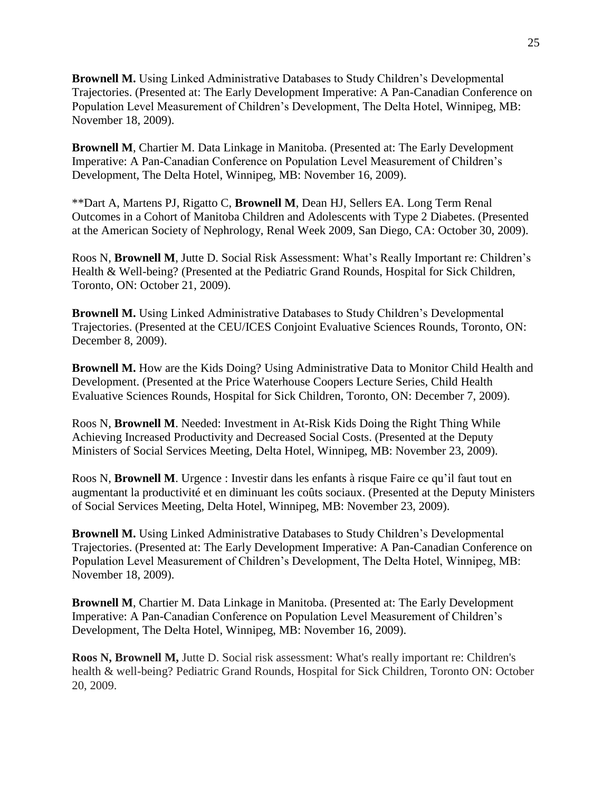**Brownell M.** Using Linked Administrative Databases to Study Children's Developmental Trajectories. (Presented at: The Early Development Imperative: A Pan-Canadian Conference on Population Level Measurement of Children's Development, The Delta Hotel, Winnipeg, MB: November 18, 2009).

**Brownell M**, Chartier M. Data Linkage in Manitoba. (Presented at: The Early Development Imperative: A Pan-Canadian Conference on Population Level Measurement of Children's Development, The Delta Hotel, Winnipeg, MB: November 16, 2009).

\*\*Dart A, Martens PJ, Rigatto C, **Brownell M**, Dean HJ, Sellers EA. Long Term Renal Outcomes in a Cohort of Manitoba Children and Adolescents with Type 2 Diabetes. (Presented at the American Society of Nephrology, Renal Week 2009, San Diego, CA: October 30, 2009).

Roos N, **Brownell M**, Jutte D. Social Risk Assessment: What's Really Important re: Children's Health & Well-being? (Presented at the Pediatric Grand Rounds, Hospital for Sick Children, Toronto, ON: October 21, 2009).

**Brownell M.** Using Linked Administrative Databases to Study Children's Developmental Trajectories. (Presented at the CEU/ICES Conjoint Evaluative Sciences Rounds, Toronto, ON: December 8, 2009).

**Brownell M.** How are the Kids Doing? Using Administrative Data to Monitor Child Health and Development. (Presented at the Price Waterhouse Coopers Lecture Series, Child Health Evaluative Sciences Rounds, Hospital for Sick Children, Toronto, ON: December 7, 2009).

Roos N, **Brownell M**. Needed: Investment in At-Risk Kids Doing the Right Thing While Achieving Increased Productivity and Decreased Social Costs. (Presented at the Deputy Ministers of Social Services Meeting, Delta Hotel, Winnipeg, MB: November 23, 2009).

Roos N, **Brownell M**. Urgence : Investir dans les enfants à risque Faire ce qu'il faut tout en augmentant la productivité et en diminuant les coûts sociaux. (Presented at the Deputy Ministers of Social Services Meeting, Delta Hotel, Winnipeg, MB: November 23, 2009).

**Brownell M.** Using Linked Administrative Databases to Study Children's Developmental Trajectories. (Presented at: The Early Development Imperative: A Pan-Canadian Conference on Population Level Measurement of Children's Development, The Delta Hotel, Winnipeg, MB: November 18, 2009).

**Brownell M**, Chartier M. Data Linkage in Manitoba. (Presented at: The Early Development Imperative: A Pan-Canadian Conference on Population Level Measurement of Children's Development, The Delta Hotel, Winnipeg, MB: November 16, 2009).

**Roos N, Brownell M,** Jutte D. Social risk assessment: What's really important re: Children's health & well-being? Pediatric Grand Rounds, Hospital for Sick Children, Toronto ON: October 20, 2009.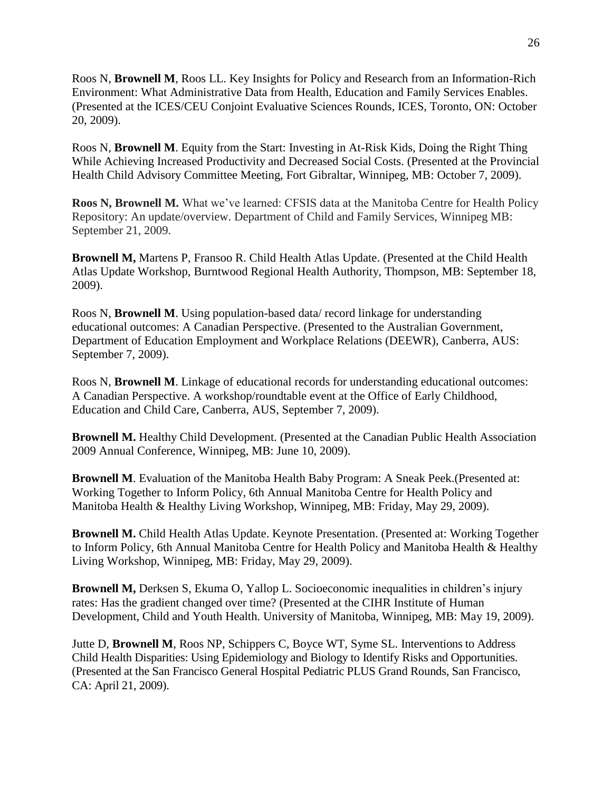Roos N, **Brownell M**, Roos LL. Key Insights for Policy and Research from an Information-Rich Environment: What Administrative Data from Health, Education and Family Services Enables. (Presented at the ICES/CEU Conjoint Evaluative Sciences Rounds, ICES, Toronto, ON: October 20, 2009).

Roos N, **Brownell M**. Equity from the Start: Investing in At-Risk Kids, Doing the Right Thing While Achieving Increased Productivity and Decreased Social Costs. (Presented at the Provincial Health Child Advisory Committee Meeting, Fort Gibraltar, Winnipeg, MB: October 7, 2009).

**Roos N, Brownell M.** What we've learned: CFSIS data at the Manitoba Centre for Health Policy Repository: An update/overview. Department of Child and Family Services, Winnipeg MB: September 21, 2009.

**Brownell M,** Martens P, Fransoo R. Child Health Atlas Update. (Presented at the Child Health Atlas Update Workshop, Burntwood Regional Health Authority, Thompson, MB: September 18, 2009).

Roos N, **Brownell M**. Using population-based data/ record linkage for understanding educational outcomes: A Canadian Perspective. (Presented to the Australian Government, Department of Education Employment and Workplace Relations (DEEWR), Canberra, AUS: September 7, 2009).

Roos N, **Brownell M**. Linkage of educational records for understanding educational outcomes: A Canadian Perspective. A workshop/roundtable event at the Office of Early Childhood, Education and Child Care, Canberra, AUS, September 7, 2009).

**Brownell M.** Healthy Child Development. (Presented at the Canadian Public Health Association 2009 Annual Conference, Winnipeg, MB: June 10, 2009).

**Brownell M**. Evaluation of the Manitoba Health Baby Program: A Sneak Peek.(Presented at: Working Together to Inform Policy, 6th Annual Manitoba Centre for Health Policy and Manitoba Health & Healthy Living Workshop, Winnipeg, MB: Friday, May 29, 2009).

**Brownell M.** Child Health Atlas Update. Keynote Presentation. (Presented at: Working Together to Inform Policy, 6th Annual Manitoba Centre for Health Policy and Manitoba Health & Healthy Living Workshop, Winnipeg, MB: Friday, May 29, 2009).

**Brownell M,** Derksen S, Ekuma O, Yallop L. Socioeconomic inequalities in children's injury rates: Has the gradient changed over time? (Presented at the CIHR Institute of Human Development, Child and Youth Health. University of Manitoba, Winnipeg, MB: May 19, 2009).

Jutte D, **Brownell M**, Roos NP, Schippers C, Boyce WT, Syme SL. Interventions to Address Child Health Disparities: Using Epidemiology and Biology to Identify Risks and Opportunities. (Presented at the San Francisco General Hospital Pediatric PLUS Grand Rounds, San Francisco, CA: April 21, 2009).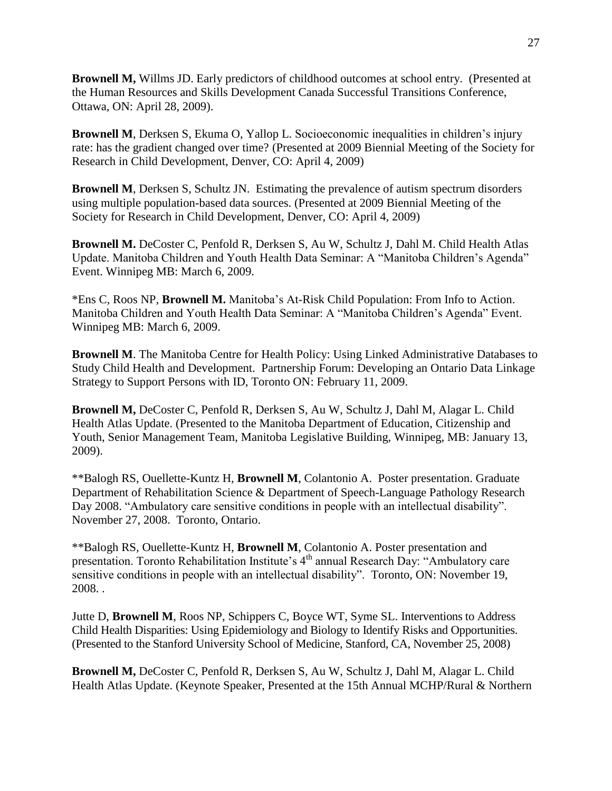**Brownell M,** Willms JD. Early predictors of childhood outcomes at school entry. (Presented at the Human Resources and Skills Development Canada Successful Transitions Conference, Ottawa, ON: April 28, 2009).

**Brownell M**, Derksen S, Ekuma O, Yallop L. Socioeconomic inequalities in children's injury rate: has the gradient changed over time? (Presented at 2009 Biennial Meeting of the Society for Research in Child Development, Denver, CO: April 4, 2009)

**Brownell M**, Derksen S, Schultz JN. Estimating the prevalence of autism spectrum disorders using multiple population-based data sources. (Presented at 2009 Biennial Meeting of the Society for Research in Child Development, Denver, CO: April 4, 2009)

**Brownell M.** DeCoster C, Penfold R, Derksen S, Au W, Schultz J, Dahl M. Child Health Atlas Update. Manitoba Children and Youth Health Data Seminar: A "Manitoba Children's Agenda" Event. Winnipeg MB: March 6, 2009.

\*Ens C, Roos NP, **Brownell M.** Manitoba's At-Risk Child Population: From Info to Action. Manitoba Children and Youth Health Data Seminar: A "Manitoba Children's Agenda" Event. Winnipeg MB: March 6, 2009.

**Brownell M**. The Manitoba Centre for Health Policy: Using Linked Administrative Databases to Study Child Health and Development. Partnership Forum: Developing an Ontario Data Linkage Strategy to Support Persons with ID, Toronto ON: February 11, 2009.

**Brownell M,** DeCoster C, Penfold R, Derksen S, Au W, Schultz J, Dahl M, Alagar L. Child Health Atlas Update. (Presented to the Manitoba Department of Education, Citizenship and Youth, Senior Management Team, Manitoba Legislative Building, Winnipeg, MB: January 13, 2009).

\*\*Balogh RS, Ouellette-Kuntz H, **Brownell M**, Colantonio A. Poster presentation. Graduate Department of Rehabilitation Science & Department of Speech-Language Pathology Research Day 2008. "Ambulatory care sensitive conditions in people with an intellectual disability". November 27, 2008. Toronto, Ontario.

\*\*Balogh RS, Ouellette-Kuntz H, **Brownell M**, Colantonio A. Poster presentation and presentation. Toronto Rehabilitation Institute's 4<sup>th</sup> annual Research Day: "Ambulatory care sensitive conditions in people with an intellectual disability". Toronto, ON: November 19, 2008. .

Jutte D, **Brownell M**, Roos NP, Schippers C, Boyce WT, Syme SL. Interventions to Address Child Health Disparities: Using Epidemiology and Biology to Identify Risks and Opportunities. (Presented to the Stanford University School of Medicine, Stanford, CA, November 25, 2008)

**Brownell M,** DeCoster C, Penfold R, Derksen S, Au W, Schultz J, Dahl M, Alagar L. Child Health Atlas Update. (Keynote Speaker, Presented at the 15th Annual MCHP/Rural & Northern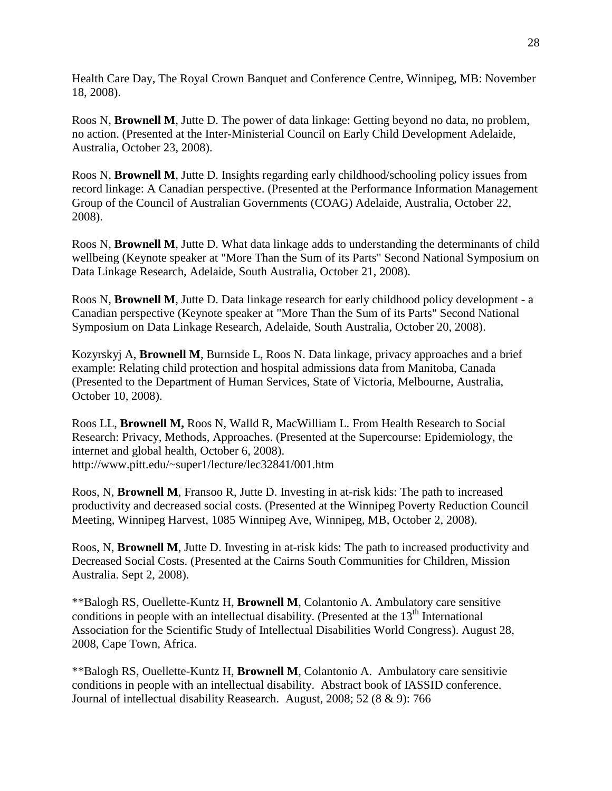Health Care Day, The Royal Crown Banquet and Conference Centre, Winnipeg, MB: November 18, 2008).

Roos N, **Brownell M**, Jutte D. The power of data linkage: Getting beyond no data, no problem, no action. (Presented at the Inter-Ministerial Council on Early Child Development Adelaide, Australia, October 23, 2008).

Roos N, **Brownell M**, Jutte D. Insights regarding early childhood/schooling policy issues from record linkage: A Canadian perspective. (Presented at the Performance Information Management Group of the Council of Australian Governments (COAG) Adelaide, Australia, October 22, 2008).

Roos N, **Brownell M**, Jutte D. What data linkage adds to understanding the determinants of child wellbeing (Keynote speaker at "More Than the Sum of its Parts" Second National Symposium on Data Linkage Research, Adelaide, South Australia, October 21, 2008).

Roos N, **Brownell M**, Jutte D. Data linkage research for early childhood policy development - a Canadian perspective (Keynote speaker at "More Than the Sum of its Parts" Second National Symposium on Data Linkage Research, Adelaide, South Australia, October 20, 2008).

Kozyrskyj A, **Brownell M**, Burnside L, Roos N. Data linkage, privacy approaches and a brief example: Relating child protection and hospital admissions data from Manitoba, Canada (Presented to the Department of Human Services, State of Victoria, Melbourne, Australia, October 10, 2008).

Roos LL, **Brownell M,** Roos N, Walld R, MacWilliam L. From Health Research to Social Research: Privacy, Methods, Approaches. (Presented at the Supercourse: Epidemiology, the internet and global health, October 6, 2008). http://www.pitt.edu/~super1/lecture/lec32841/001.htm

Roos, N, **Brownell M**, Fransoo R, Jutte D. Investing in at-risk kids: The path to increased productivity and decreased social costs. (Presented at the Winnipeg Poverty Reduction Council Meeting, Winnipeg Harvest, 1085 Winnipeg Ave, Winnipeg, MB, October 2, 2008).

Roos, N, **Brownell M**, Jutte D. Investing in at-risk kids: The path to increased productivity and Decreased Social Costs. (Presented at the Cairns South Communities for Children, Mission Australia. Sept 2, 2008).

\*\*Balogh RS, Ouellette-Kuntz H, **Brownell M**, Colantonio A. Ambulatory care sensitive conditions in people with an intellectual disability. (Presented at the  $13<sup>th</sup>$  International Association for the Scientific Study of Intellectual Disabilities World Congress). August 28, 2008, Cape Town, Africa.

\*\*Balogh RS, Ouellette-Kuntz H, **Brownell M**, Colantonio A. Ambulatory care sensitivie conditions in people with an intellectual disability. Abstract book of IASSID conference. Journal of intellectual disability Reasearch. August, 2008; 52 (8 & 9): 766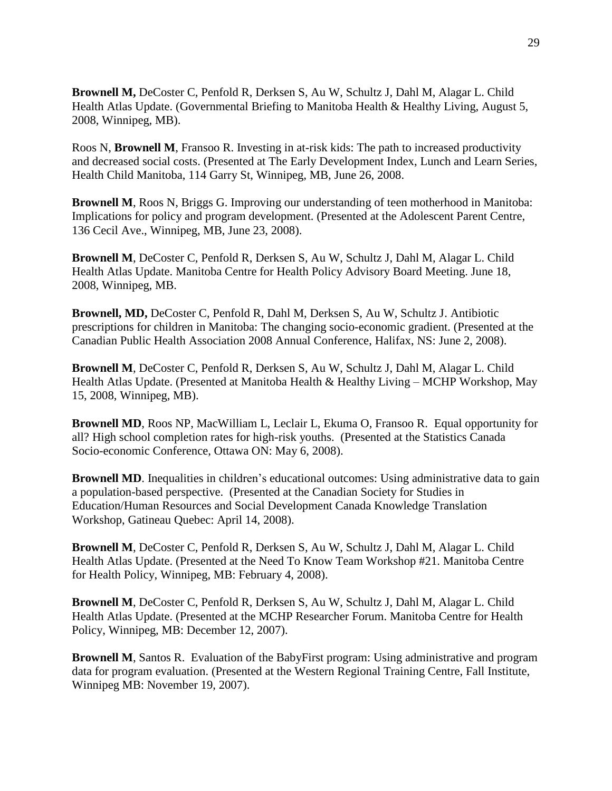**Brownell M,** DeCoster C, Penfold R, Derksen S, Au W, Schultz J, Dahl M, Alagar L. Child Health Atlas Update. (Governmental Briefing to Manitoba Health & Healthy Living, August 5, 2008, Winnipeg, MB).

Roos N, **Brownell M**, Fransoo R. Investing in at-risk kids: The path to increased productivity and decreased social costs. (Presented at The Early Development Index, Lunch and Learn Series, Health Child Manitoba, 114 Garry St, Winnipeg, MB, June 26, 2008.

**Brownell M**, Roos N, Briggs G. Improving our understanding of teen motherhood in Manitoba: Implications for policy and program development. (Presented at the Adolescent Parent Centre, 136 Cecil Ave., Winnipeg, MB, June 23, 2008).

**Brownell M**, DeCoster C, Penfold R, Derksen S, Au W, Schultz J, Dahl M, Alagar L. Child Health Atlas Update. Manitoba Centre for Health Policy Advisory Board Meeting. June 18, 2008, Winnipeg, MB.

**Brownell, MD,** DeCoster C, Penfold R, Dahl M, Derksen S, Au W, Schultz J. Antibiotic prescriptions for children in Manitoba: The changing socio-economic gradient. (Presented at the Canadian Public Health Association 2008 Annual Conference, Halifax, NS: June 2, 2008).

**Brownell M**, DeCoster C, Penfold R, Derksen S, Au W, Schultz J, Dahl M, Alagar L. Child Health Atlas Update. (Presented at Manitoba Health & Healthy Living – MCHP Workshop, May 15, 2008, Winnipeg, MB).

**Brownell MD**, Roos NP, MacWilliam L, Leclair L, Ekuma O, Fransoo R. Equal opportunity for all? High school completion rates for high-risk youths. (Presented at the Statistics Canada Socio-economic Conference, Ottawa ON: May 6, 2008).

**Brownell MD**. Inequalities in children's educational outcomes: Using administrative data to gain a population-based perspective. (Presented at the Canadian Society for Studies in Education/Human Resources and Social Development Canada Knowledge Translation Workshop, Gatineau Quebec: April 14, 2008).

**Brownell M**, DeCoster C, Penfold R, Derksen S, Au W, Schultz J, Dahl M, Alagar L. Child Health Atlas Update. (Presented at the Need To Know Team Workshop #21. Manitoba Centre for Health Policy, Winnipeg, MB: February 4, 2008).

**Brownell M**, DeCoster C, Penfold R, Derksen S, Au W, Schultz J, Dahl M, Alagar L. Child Health Atlas Update. (Presented at the MCHP Researcher Forum. Manitoba Centre for Health Policy, Winnipeg, MB: December 12, 2007).

**Brownell M**, Santos R. Evaluation of the BabyFirst program: Using administrative and program data for program evaluation. (Presented at the Western Regional Training Centre, Fall Institute, Winnipeg MB: November 19, 2007).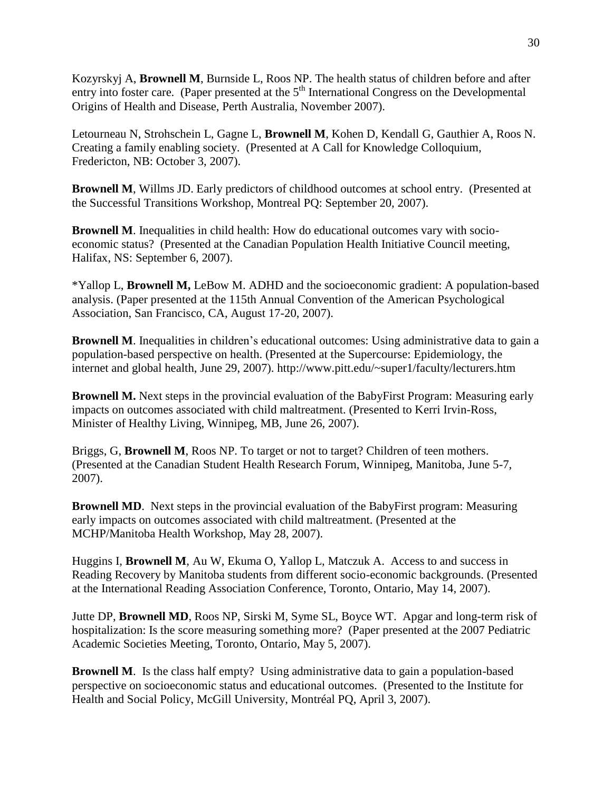Kozyrskyj A, **Brownell M**, Burnside L, Roos NP. The health status of children before and after entry into foster care. (Paper presented at the  $5<sup>th</sup>$  International Congress on the Developmental Origins of Health and Disease, Perth Australia, November 2007).

Letourneau N, Strohschein L, Gagne L, **Brownell M**, Kohen D, Kendall G, Gauthier A, Roos N. Creating a family enabling society. (Presented at A Call for Knowledge Colloquium, Fredericton, NB: October 3, 2007).

**Brownell M**, Willms JD. Early predictors of childhood outcomes at school entry. (Presented at the Successful Transitions Workshop, Montreal PQ: September 20, 2007).

**Brownell M**. Inequalities in child health: How do educational outcomes vary with socioeconomic status? (Presented at the Canadian Population Health Initiative Council meeting, Halifax, NS: September 6, 2007).

\*Yallop L, **Brownell M,** LeBow M. ADHD and the socioeconomic gradient: A population-based analysis. (Paper presented at the 115th Annual Convention of the American Psychological Association, San Francisco, CA, August 17-20, 2007).

**Brownell M**. Inequalities in children's educational outcomes: Using administrative data to gain a [population-based perspective on health.](http://www.pitt.edu/~super1/lecture/lec29561/index.htm) (Presented at the Supercourse: Epidemiology, the internet and global health, June 29, 2007). http://www.pitt.edu/~super1/faculty/lecturers.htm

**Brownell M.** Next steps in the provincial evaluation of the BabyFirst Program: Measuring early impacts on outcomes associated with child maltreatment. (Presented to Kerri Irvin-Ross, Minister of Healthy Living, Winnipeg, MB, June 26, 2007).

Briggs, G, **Brownell M**, Roos NP. To target or not to target? Children of teen mothers. (Presented at the Canadian Student Health Research Forum, Winnipeg, Manitoba, June 5-7, 2007).

**Brownell MD.** Next steps in the provincial evaluation of the BabyFirst program: Measuring early impacts on outcomes associated with child maltreatment. (Presented at the MCHP/Manitoba Health Workshop, May 28, 2007).

Huggins I, **Brownell M**, Au W, Ekuma O, Yallop L, Matczuk A. Access to and success in Reading Recovery by Manitoba students from different socio-economic backgrounds. (Presented at the International Reading Association Conference, Toronto, Ontario, May 14, 2007).

Jutte DP, **Brownell MD**, Roos NP, Sirski M, Syme SL, Boyce WT. Apgar and long-term risk of hospitalization: Is the score measuring something more? (Paper presented at the 2007 Pediatric Academic Societies Meeting, Toronto, Ontario, May 5, 2007).

**Brownell M.** Is the class half empty? Using administrative data to gain a population-based perspective on socioeconomic status and educational outcomes. (Presented to the Institute for Health and Social Policy, McGill University, Montréal PQ, April 3, 2007).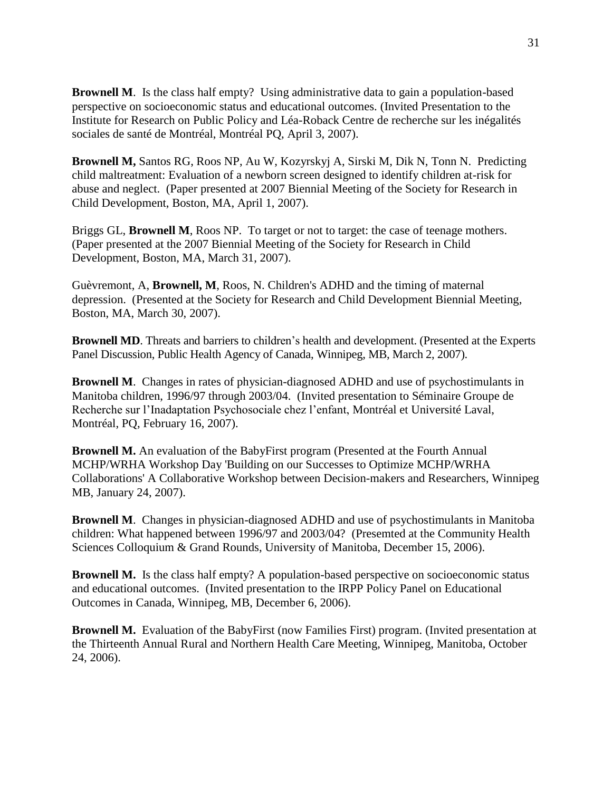**Brownell M.** Is the class half empty? Using administrative data to gain a population-based perspective on socioeconomic status and educational outcomes. (Invited Presentation to the Institute for Research on Public Policy and Léa-Roback Centre de recherche sur les inégalités sociales de santé de Montréal, Montréal PQ, April 3, 2007).

**Brownell M,** Santos RG, Roos NP, Au W, Kozyrskyj A, Sirski M, Dik N, Tonn N. Predicting child maltreatment: Evaluation of a newborn screen designed to identify children at-risk for abuse and neglect. (Paper presented at 2007 Biennial Meeting of the Society for Research in Child Development, Boston, MA, April 1, 2007).

Briggs GL, **Brownell M**, Roos NP. To target or not to target: the case of teenage mothers. (Paper presented at the 2007 Biennial Meeting of the Society for Research in Child Development, Boston, MA, March 31, 2007).

Guèvremont, A, **Brownell, M**, Roos, N. Children's ADHD and the timing of maternal depression. (Presented at the Society for Research and Child Development Biennial Meeting, Boston, MA, March 30, 2007).

**Brownell MD**. Threats and barriers to children's health and development. (Presented at the Experts Panel Discussion, Public Health Agency of Canada, Winnipeg, MB, March 2, 2007).

**Brownell M**. Changes in rates of physician-diagnosed ADHD and use of psychostimulants in Manitoba children, 1996/97 through 2003/04. (Invited presentation to Séminaire Groupe de Recherche sur l'Inadaptation Psychosociale chez l'enfant, Montréal et Université Laval, Montréal, PQ, February 16, 2007).

**Brownell M.** An evaluation of the BabyFirst program (Presented at the Fourth Annual MCHP/WRHA Workshop Day 'Building on our Successes to Optimize MCHP/WRHA Collaborations' A Collaborative Workshop between Decision-makers and Researchers, Winnipeg MB, January 24, 2007).

**Brownell M**. Changes in physician-diagnosed ADHD and use of psychostimulants in Manitoba children: What happened between 1996/97 and 2003/04? (Presemted at the Community Health Sciences Colloquium & Grand Rounds, University of Manitoba, December 15, 2006).

**Brownell M.** Is the class half empty? A population-based perspective on socioeconomic status and educational outcomes. (Invited presentation to the IRPP Policy Panel on Educational Outcomes in Canada, Winnipeg, MB, December 6, 2006).

**Brownell M.** Evaluation of the BabyFirst (now Families First) program. (Invited presentation at the Thirteenth Annual Rural and Northern Health Care Meeting, Winnipeg, Manitoba, October 24, 2006).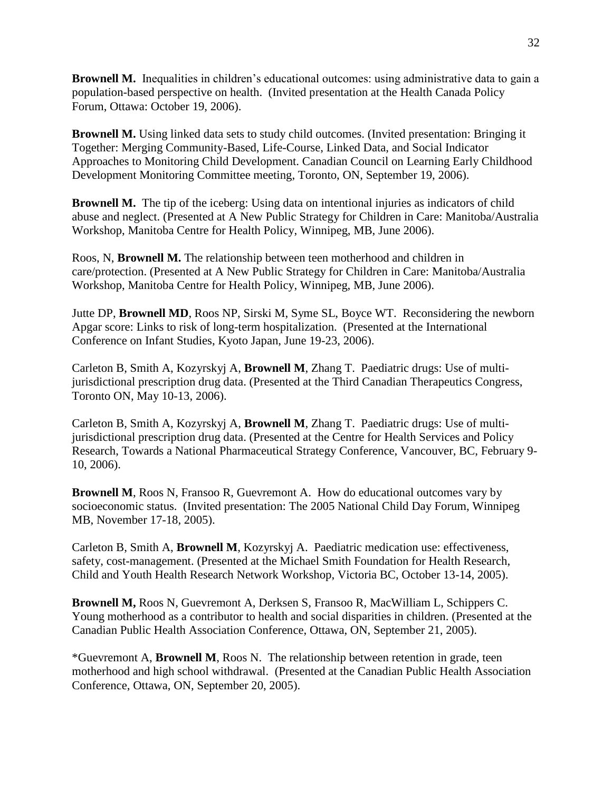**Brownell M.** Inequalities in children's educational outcomes: using administrative data to gain a population-based perspective on health. (Invited presentation at the Health Canada Policy Forum, Ottawa: October 19, 2006).

**Brownell M.** Using linked data sets to study child outcomes. (Invited presentation: Bringing it Together: Merging Community-Based, Life-Course, Linked Data, and Social Indicator Approaches to Monitoring Child Development. Canadian Council on Learning Early Childhood Development Monitoring Committee meeting, Toronto, ON, September 19, 2006).

**Brownell M.** The tip of the iceberg: Using data on intentional injuries as indicators of child abuse and neglect. (Presented at A New Public Strategy for Children in Care: Manitoba/Australia Workshop, Manitoba Centre for Health Policy, Winnipeg, MB, June 2006).

Roos, N, **Brownell M.** The relationship between teen motherhood and children in care/protection. (Presented at A New Public Strategy for Children in Care: Manitoba/Australia Workshop, Manitoba Centre for Health Policy, Winnipeg, MB, June 2006).

Jutte DP, **Brownell MD**, Roos NP, Sirski M, Syme SL, Boyce WT. Reconsidering the newborn Apgar score: Links to risk of long-term hospitalization. (Presented at the International Conference on Infant Studies, Kyoto Japan, June 19-23, 2006).

Carleton B, Smith A, Kozyrskyj A, **Brownell M**, Zhang T. Paediatric drugs: Use of multijurisdictional prescription drug data. (Presented at the Third Canadian Therapeutics Congress, Toronto ON, May 10-13, 2006).

Carleton B, Smith A, Kozyrskyj A, **Brownell M**, Zhang T. Paediatric drugs: Use of multijurisdictional prescription drug data. (Presented at the Centre for Health Services and Policy Research, Towards a National Pharmaceutical Strategy Conference, Vancouver, BC, February 9- 10, 2006).

**Brownell M**, Roos N, Fransoo R, Guevremont A. How do educational outcomes vary by socioeconomic status. (Invited presentation: The 2005 National Child Day Forum, Winnipeg MB, November 17-18, 2005).

Carleton B, Smith A, **Brownell M**, Kozyrskyj A. Paediatric medication use: effectiveness, safety, cost-management. (Presented at the Michael Smith Foundation for Health Research, Child and Youth Health Research Network Workshop, Victoria BC, October 13-14, 2005).

**Brownell M,** Roos N, Guevremont A, Derksen S, Fransoo R, MacWilliam L, Schippers C. Young motherhood as a contributor to health and social disparities in children. (Presented at the Canadian Public Health Association Conference, Ottawa, ON, September 21, 2005).

\*Guevremont A, **Brownell M**, Roos N. The relationship between retention in grade, teen motherhood and high school withdrawal. (Presented at the Canadian Public Health Association Conference, Ottawa, ON, September 20, 2005).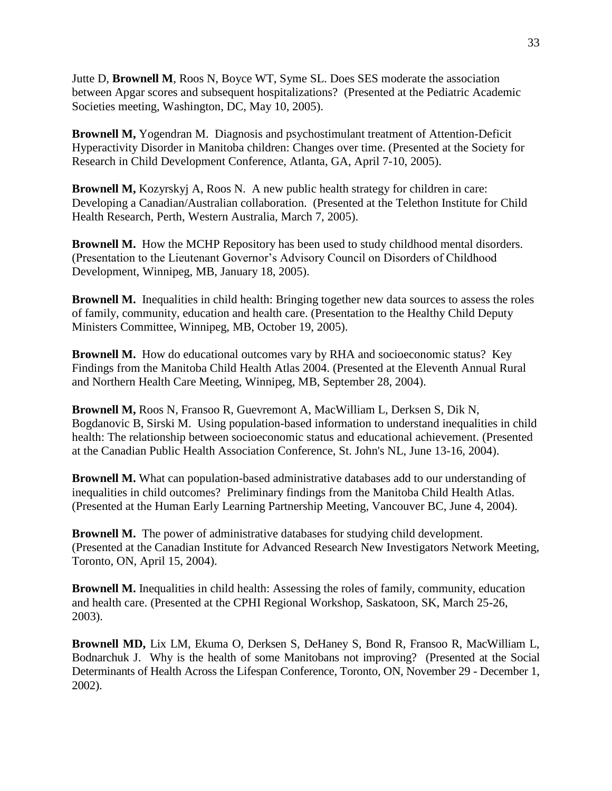Jutte D, **Brownell M**, Roos N, Boyce WT, Syme SL. Does SES moderate the association between Apgar scores and subsequent hospitalizations? (Presented at the Pediatric Academic Societies meeting, Washington, DC, May 10, 2005).

**Brownell M,** Yogendran M. Diagnosis and psychostimulant treatment of Attention-Deficit Hyperactivity Disorder in Manitoba children: Changes over time. (Presented at the Society for Research in Child Development Conference, Atlanta, GA, April 7-10, 2005).

**Brownell M,** Kozyrskyj A, Roos N.A new public health strategy for children in care: Developing a Canadian/Australian collaboration. (Presented at the Telethon Institute for Child Health Research, Perth, Western Australia, March 7, 2005).

**Brownell M.** How the MCHP Repository has been used to study childhood mental disorders. (Presentation to the Lieutenant Governor's Advisory Council on Disorders of Childhood Development, Winnipeg, MB, January 18, 2005).

**Brownell M.** Inequalities in child health: Bringing together new data sources to assess the roles of family, community, education and health care. (Presentation to the Healthy Child Deputy Ministers Committee, Winnipeg, MB, October 19, 2005).

**Brownell M.** How do educational outcomes vary by RHA and socioeconomic status? Key Findings from the Manitoba Child Health Atlas 2004. (Presented at the Eleventh Annual Rural and Northern Health Care Meeting, Winnipeg, MB, September 28, 2004).

**Brownell M,** Roos N, Fransoo R, Guevremont A, MacWilliam L, Derksen S, Dik N, Bogdanovic B, Sirski M. Using population-based information to understand inequalities in child health: The relationship between socioeconomic status and educational achievement. (Presented at the Canadian Public Health Association Conference, St. John's NL, June 13-16, 2004).

**Brownell M.** What can population-based administrative databases add to our understanding of inequalities in child outcomes? Preliminary findings from the Manitoba Child Health Atlas. (Presented at the Human Early Learning Partnership Meeting, Vancouver BC, June 4, 2004).

**Brownell M.** The power of administrative databases for studying child development. (Presented at the Canadian Institute for Advanced Research New Investigators Network Meeting, Toronto, ON, April 15, 2004).

**Brownell M.** Inequalities in child health: Assessing the roles of family, community, education and health care. (Presented at the CPHI Regional Workshop, Saskatoon, SK, March 25-26, 2003).

**Brownell MD,** Lix LM, Ekuma O, Derksen S, DeHaney S, Bond R, Fransoo R, MacWilliam L, Bodnarchuk J. Why is the health of some Manitobans not improving? (Presented at the Social Determinants of Health Across the Lifespan Conference, Toronto, ON, November 29 - December 1, 2002).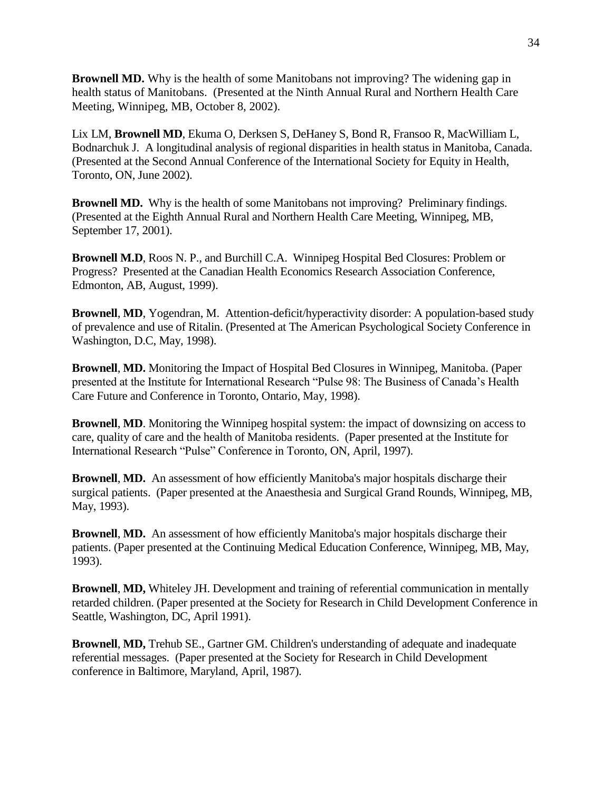**Brownell MD.** Why is the health of some Manitobans not improving? The widening gap in health status of Manitobans. (Presented at the Ninth Annual Rural and Northern Health Care Meeting, Winnipeg, MB, October 8, 2002).

Lix LM, **Brownell MD**, Ekuma O, Derksen S, DeHaney S, Bond R, Fransoo R, MacWilliam L, Bodnarchuk J. A longitudinal analysis of regional disparities in health status in Manitoba, Canada. (Presented at the Second Annual Conference of the International Society for Equity in Health, Toronto, ON, June 2002).

**Brownell MD.** Why is the health of some Manitobans not improving? Preliminary findings. (Presented at the Eighth Annual Rural and Northern Health Care Meeting, Winnipeg, MB, September 17, 2001).

**Brownell M.D**, Roos N. P., and Burchill C.A. Winnipeg Hospital Bed Closures: Problem or Progress? Presented at the Canadian Health Economics Research Association Conference, Edmonton, AB, August, 1999).

**Brownell**, **MD**, Yogendran, M. Attention-deficit/hyperactivity disorder: A population-based study of prevalence and use of Ritalin. (Presented at The American Psychological Society Conference in Washington, D.C, May, 1998).

**Brownell**, **MD.** Monitoring the Impact of Hospital Bed Closures in Winnipeg, Manitoba. (Paper presented at the Institute for International Research "Pulse 98: The Business of Canada's Health Care Future and Conference in Toronto, Ontario, May, 1998).

**Brownell**, **MD**. Monitoring the Winnipeg hospital system: the impact of downsizing on access to care, quality of care and the health of Manitoba residents. (Paper presented at the Institute for International Research "Pulse" Conference in Toronto, ON, April, 1997).

**Brownell**, **MD.** An assessment of how efficiently Manitoba's major hospitals discharge their surgical patients. (Paper presented at the Anaesthesia and Surgical Grand Rounds, Winnipeg, MB, May, 1993).

**Brownell**, **MD.** An assessment of how efficiently Manitoba's major hospitals discharge their patients. (Paper presented at the Continuing Medical Education Conference, Winnipeg, MB, May, 1993).

**Brownell**, **MD,** Whiteley JH. Development and training of referential communication in mentally retarded children. (Paper presented at the Society for Research in Child Development Conference in Seattle, Washington, DC, April 1991).

**Brownell**, **MD,** Trehub SE., Gartner GM. Children's understanding of adequate and inadequate referential messages. (Paper presented at the Society for Research in Child Development conference in Baltimore, Maryland, April, 1987).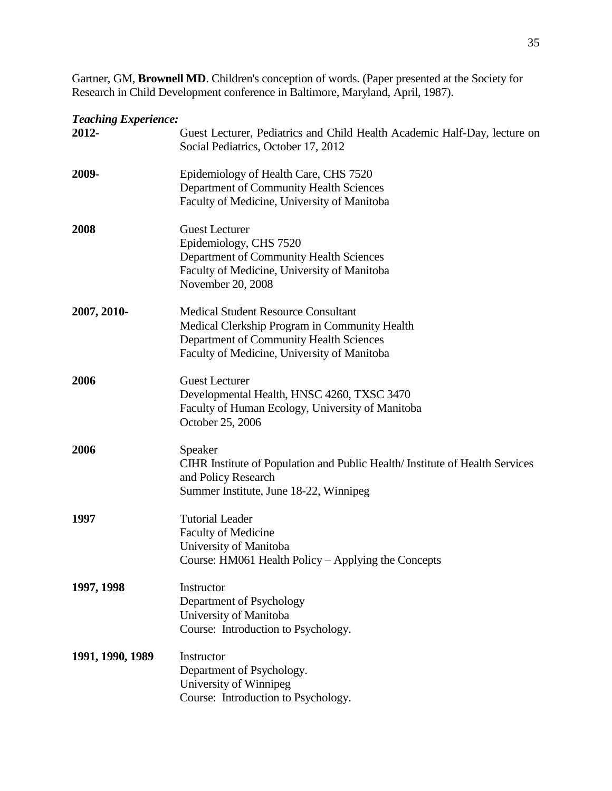Gartner, GM, **Brownell MD**. Children's conception of words. (Paper presented at the Society for Research in Child Development conference in Baltimore, Maryland, April, 1987).

## *Teaching Experience:*

| $1$ cached $\mu$ $\mu$ $\mu$ $\mu$ $\mu$ $\mu$<br>2012- | Guest Lecturer, Pediatrics and Child Health Academic Half-Day, lecture on<br>Social Pediatrics, October 17, 2012                                                                      |
|---------------------------------------------------------|---------------------------------------------------------------------------------------------------------------------------------------------------------------------------------------|
| 2009-                                                   | Epidemiology of Health Care, CHS 7520<br>Department of Community Health Sciences<br>Faculty of Medicine, University of Manitoba                                                       |
| 2008                                                    | <b>Guest Lecturer</b><br>Epidemiology, CHS 7520<br>Department of Community Health Sciences<br>Faculty of Medicine, University of Manitoba<br>November 20, 2008                        |
| 2007, 2010-                                             | <b>Medical Student Resource Consultant</b><br>Medical Clerkship Program in Community Health<br>Department of Community Health Sciences<br>Faculty of Medicine, University of Manitoba |
| 2006                                                    | <b>Guest Lecturer</b><br>Developmental Health, HNSC 4260, TXSC 3470<br>Faculty of Human Ecology, University of Manitoba<br>October 25, 2006                                           |
| 2006                                                    | Speaker<br>CIHR Institute of Population and Public Health/Institute of Health Services<br>and Policy Research<br>Summer Institute, June 18-22, Winnipeg                               |
| 1997                                                    | <b>Tutorial Leader</b><br><b>Faculty of Medicine</b><br>University of Manitoba<br>Course: HM061 Health Policy - Applying the Concepts                                                 |
| 1997, 1998                                              | Instructor<br>Department of Psychology<br>University of Manitoba<br>Course: Introduction to Psychology.                                                                               |
| 1991, 1990, 1989                                        | Instructor<br>Department of Psychology.<br>University of Winnipeg<br>Course: Introduction to Psychology.                                                                              |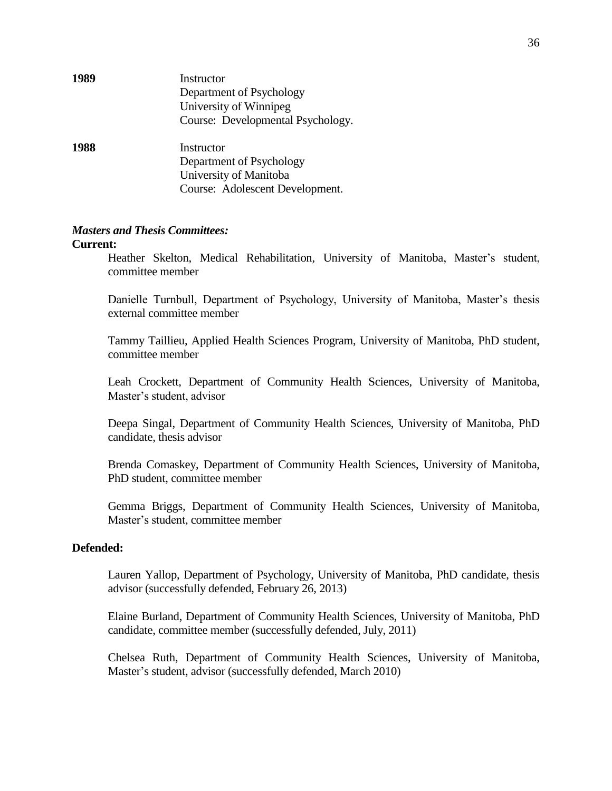| 1989 | Instructor<br>Department of Psychology<br>University of Winnipeg<br>Course: Developmental Psychology. |
|------|-------------------------------------------------------------------------------------------------------|
| 1988 | Instructor<br>Department of Psychology<br>University of Manitoba<br>Course: Adolescent Development.   |

#### *Masters and Thesis Committees:*

#### **Current:**

Heather Skelton, Medical Rehabilitation, University of Manitoba, Master's student, committee member

Danielle Turnbull, Department of Psychology, University of Manitoba, Master's thesis external committee member

Tammy Taillieu, Applied Health Sciences Program, University of Manitoba, PhD student, committee member

Leah Crockett, Department of Community Health Sciences, University of Manitoba, Master's student, advisor

Deepa Singal, Department of Community Health Sciences, University of Manitoba, PhD candidate, thesis advisor

Brenda Comaskey, Department of Community Health Sciences, University of Manitoba, PhD student, committee member

Gemma Briggs, Department of Community Health Sciences, University of Manitoba, Master's student, committee member

#### **Defended:**

Lauren Yallop, Department of Psychology, University of Manitoba, PhD candidate, thesis advisor (successfully defended, February 26, 2013)

Elaine Burland, Department of Community Health Sciences, University of Manitoba, PhD candidate, committee member (successfully defended, July, 2011)

Chelsea Ruth, Department of Community Health Sciences, University of Manitoba, Master's student, advisor (successfully defended, March 2010)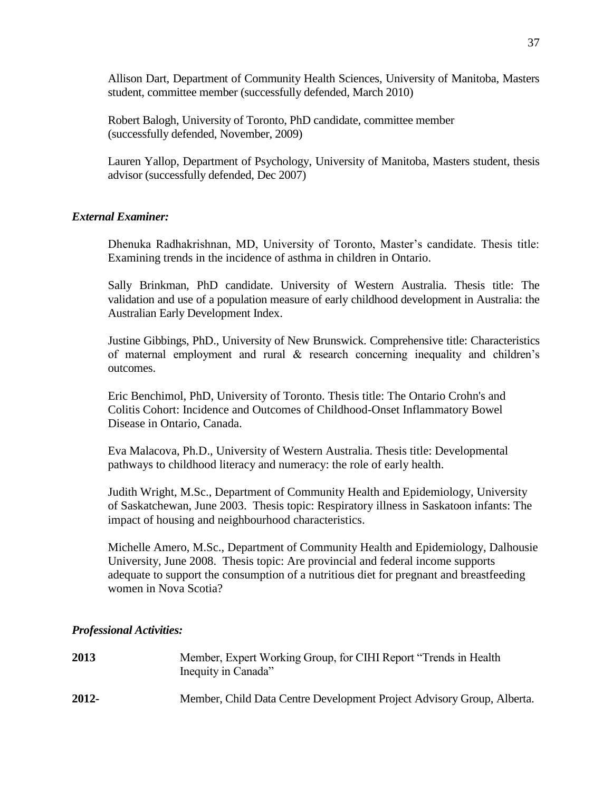Allison Dart, Department of Community Health Sciences, University of Manitoba, Masters student, committee member (successfully defended, March 2010)

Robert Balogh, University of Toronto, PhD candidate, committee member (successfully defended, November, 2009)

Lauren Yallop, Department of Psychology, University of Manitoba, Masters student, thesis advisor (successfully defended, Dec 2007)

## *External Examiner:*

Dhenuka Radhakrishnan, MD, University of Toronto, Master's candidate. Thesis title: Examining trends in the incidence of asthma in children in Ontario.

Sally Brinkman, PhD candidate. University of Western Australia. Thesis title: The validation and use of a population measure of early childhood development in Australia: the Australian Early Development Index.

Justine Gibbings, PhD., University of New Brunswick. Comprehensive title: Characteristics of maternal employment and rural & research concerning inequality and children's outcomes.

Eric Benchimol, PhD, University of Toronto. Thesis title: The Ontario Crohn's and Colitis Cohort: Incidence and Outcomes of Childhood-Onset Inflammatory Bowel Disease in Ontario, Canada.

Eva Malacova, Ph.D., University of Western Australia. Thesis title: Developmental pathways to childhood literacy and numeracy: the role of early health.

Judith Wright, M.Sc., Department of Community Health and Epidemiology, University of Saskatchewan, June 2003. Thesis topic: Respiratory illness in Saskatoon infants: The impact of housing and neighbourhood characteristics.

Michelle Amero, M.Sc., Department of Community Health and Epidemiology, Dalhousie University, June 2008. Thesis topic: Are provincial and federal income supports adequate to support the consumption of a nutritious diet for pregnant and breastfeeding women in Nova Scotia?

#### *Professional Activities:*

| 2013  | Member, Expert Working Group, for CIHI Report "Trends in Health"<br>Inequity in Canada" |
|-------|-----------------------------------------------------------------------------------------|
| 2012- | Member, Child Data Centre Development Project Advisory Group, Alberta.                  |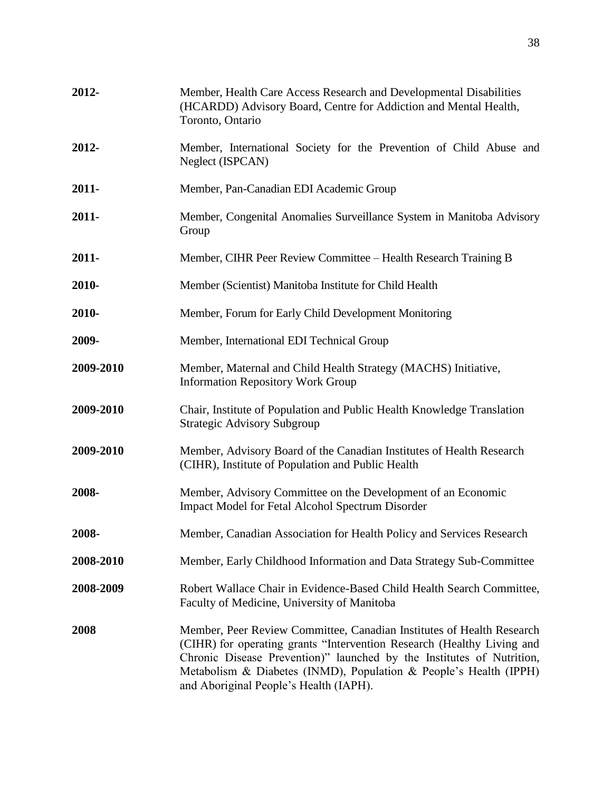| 2012-     | Member, Health Care Access Research and Developmental Disabilities<br>(HCARDD) Advisory Board, Centre for Addiction and Mental Health,<br>Toronto, Ontario                                                                                                                                                                              |
|-----------|-----------------------------------------------------------------------------------------------------------------------------------------------------------------------------------------------------------------------------------------------------------------------------------------------------------------------------------------|
| 2012-     | Member, International Society for the Prevention of Child Abuse and<br>Neglect (ISPCAN)                                                                                                                                                                                                                                                 |
| $2011 -$  | Member, Pan-Canadian EDI Academic Group                                                                                                                                                                                                                                                                                                 |
| 2011-     | Member, Congenital Anomalies Surveillance System in Manitoba Advisory<br>Group                                                                                                                                                                                                                                                          |
| 2011-     | Member, CIHR Peer Review Committee – Health Research Training B                                                                                                                                                                                                                                                                         |
| 2010-     | Member (Scientist) Manitoba Institute for Child Health                                                                                                                                                                                                                                                                                  |
| 2010-     | Member, Forum for Early Child Development Monitoring                                                                                                                                                                                                                                                                                    |
| 2009-     | Member, International EDI Technical Group                                                                                                                                                                                                                                                                                               |
| 2009-2010 | Member, Maternal and Child Health Strategy (MACHS) Initiative,<br><b>Information Repository Work Group</b>                                                                                                                                                                                                                              |
| 2009-2010 | Chair, Institute of Population and Public Health Knowledge Translation<br><b>Strategic Advisory Subgroup</b>                                                                                                                                                                                                                            |
| 2009-2010 | Member, Advisory Board of the Canadian Institutes of Health Research<br>(CIHR), Institute of Population and Public Health                                                                                                                                                                                                               |
| 2008-     | Member, Advisory Committee on the Development of an Economic<br><b>Impact Model for Fetal Alcohol Spectrum Disorder</b>                                                                                                                                                                                                                 |
| 2008-     | Member, Canadian Association for Health Policy and Services Research                                                                                                                                                                                                                                                                    |
| 2008-2010 | Member, Early Childhood Information and Data Strategy Sub-Committee                                                                                                                                                                                                                                                                     |
| 2008-2009 | Robert Wallace Chair in Evidence-Based Child Health Search Committee,<br>Faculty of Medicine, University of Manitoba                                                                                                                                                                                                                    |
| 2008      | Member, Peer Review Committee, Canadian Institutes of Health Research<br>(CIHR) for operating grants "Intervention Research (Healthy Living and<br>Chronic Disease Prevention)" launched by the Institutes of Nutrition,<br>Metabolism & Diabetes (INMD), Population & People's Health (IPPH)<br>and Aboriginal People's Health (IAPH). |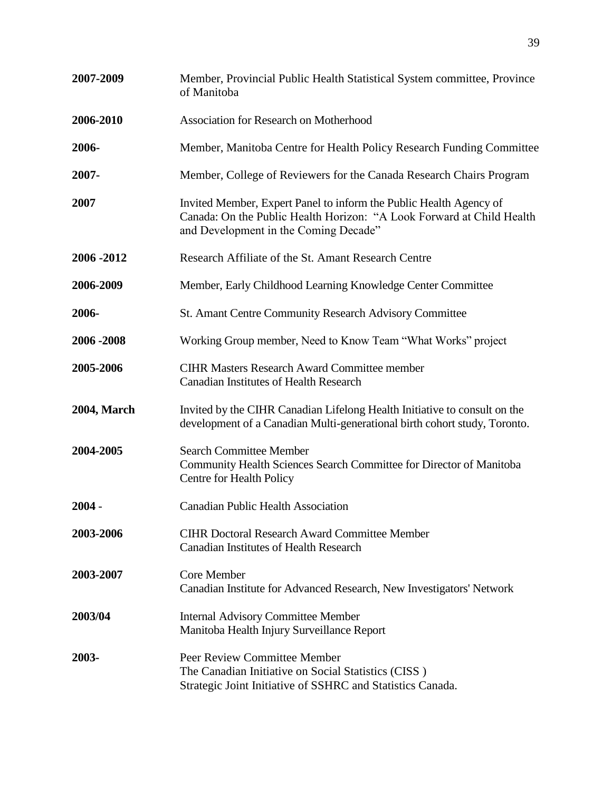| 2007-2009          | Member, Provincial Public Health Statistical System committee, Province<br>of Manitoba                                                                                               |
|--------------------|--------------------------------------------------------------------------------------------------------------------------------------------------------------------------------------|
| 2006-2010          | Association for Research on Motherhood                                                                                                                                               |
| 2006-              | Member, Manitoba Centre for Health Policy Research Funding Committee                                                                                                                 |
| 2007-              | Member, College of Reviewers for the Canada Research Chairs Program                                                                                                                  |
| 2007               | Invited Member, Expert Panel to inform the Public Health Agency of<br>Canada: On the Public Health Horizon: "A Look Forward at Child Health<br>and Development in the Coming Decade" |
| 2006 - 2012        | Research Affiliate of the St. Amant Research Centre                                                                                                                                  |
| 2006-2009          | Member, Early Childhood Learning Knowledge Center Committee                                                                                                                          |
| 2006-              | <b>St. Amant Centre Community Research Advisory Committee</b>                                                                                                                        |
| 2006 - 2008        | Working Group member, Need to Know Team "What Works" project                                                                                                                         |
| 2005-2006          | <b>CIHR Masters Research Award Committee member</b><br><b>Canadian Institutes of Health Research</b>                                                                                 |
| <b>2004, March</b> | Invited by the CIHR Canadian Lifelong Health Initiative to consult on the<br>development of a Canadian Multi-generational birth cohort study, Toronto.                               |
| 2004-2005          | <b>Search Committee Member</b><br>Community Health Sciences Search Committee for Director of Manitoba<br>Centre for Health Policy                                                    |
| $2004 -$           | <b>Canadian Public Health Association</b>                                                                                                                                            |
| 2003-2006          | <b>CIHR Doctoral Research Award Committee Member</b><br><b>Canadian Institutes of Health Research</b>                                                                                |
| 2003-2007          | Core Member<br>Canadian Institute for Advanced Research, New Investigators' Network                                                                                                  |
| 2003/04            | <b>Internal Advisory Committee Member</b><br>Manitoba Health Injury Surveillance Report                                                                                              |
| 2003-              | Peer Review Committee Member<br>The Canadian Initiative on Social Statistics (CISS)<br>Strategic Joint Initiative of SSHRC and Statistics Canada.                                    |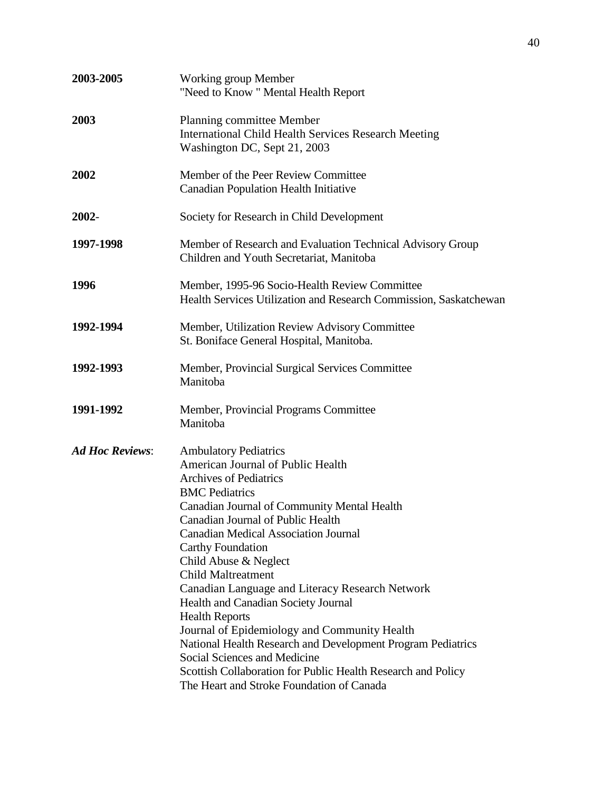| 2003-2005              | <b>Working group Member</b><br>"Need to Know" Mental Health Report                                                                                                                                                                                                                                                                                                                                                                                                                                                                                                                                                                                                                                                              |
|------------------------|---------------------------------------------------------------------------------------------------------------------------------------------------------------------------------------------------------------------------------------------------------------------------------------------------------------------------------------------------------------------------------------------------------------------------------------------------------------------------------------------------------------------------------------------------------------------------------------------------------------------------------------------------------------------------------------------------------------------------------|
| 2003                   | Planning committee Member<br><b>International Child Health Services Research Meeting</b><br>Washington DC, Sept 21, 2003                                                                                                                                                                                                                                                                                                                                                                                                                                                                                                                                                                                                        |
| 2002                   | Member of the Peer Review Committee<br><b>Canadian Population Health Initiative</b>                                                                                                                                                                                                                                                                                                                                                                                                                                                                                                                                                                                                                                             |
| 2002-                  | Society for Research in Child Development                                                                                                                                                                                                                                                                                                                                                                                                                                                                                                                                                                                                                                                                                       |
| 1997-1998              | Member of Research and Evaluation Technical Advisory Group<br>Children and Youth Secretariat, Manitoba                                                                                                                                                                                                                                                                                                                                                                                                                                                                                                                                                                                                                          |
| 1996                   | Member, 1995-96 Socio-Health Review Committee<br>Health Services Utilization and Research Commission, Saskatchewan                                                                                                                                                                                                                                                                                                                                                                                                                                                                                                                                                                                                              |
| 1992-1994              | Member, Utilization Review Advisory Committee<br>St. Boniface General Hospital, Manitoba.                                                                                                                                                                                                                                                                                                                                                                                                                                                                                                                                                                                                                                       |
| 1992-1993              | Member, Provincial Surgical Services Committee<br>Manitoba                                                                                                                                                                                                                                                                                                                                                                                                                                                                                                                                                                                                                                                                      |
| 1991-1992              | Member, Provincial Programs Committee<br>Manitoba                                                                                                                                                                                                                                                                                                                                                                                                                                                                                                                                                                                                                                                                               |
| <b>Ad Hoc Reviews:</b> | <b>Ambulatory Pediatrics</b><br>American Journal of Public Health<br><b>Archives of Pediatrics</b><br><b>BMC</b> Pediatrics<br>Canadian Journal of Community Mental Health<br>Canadian Journal of Public Health<br><b>Canadian Medical Association Journal</b><br><b>Carthy Foundation</b><br>Child Abuse & Neglect<br><b>Child Maltreatment</b><br>Canadian Language and Literacy Research Network<br>Health and Canadian Society Journal<br><b>Health Reports</b><br>Journal of Epidemiology and Community Health<br>National Health Research and Development Program Pediatrics<br>Social Sciences and Medicine<br>Scottish Collaboration for Public Health Research and Policy<br>The Heart and Stroke Foundation of Canada |